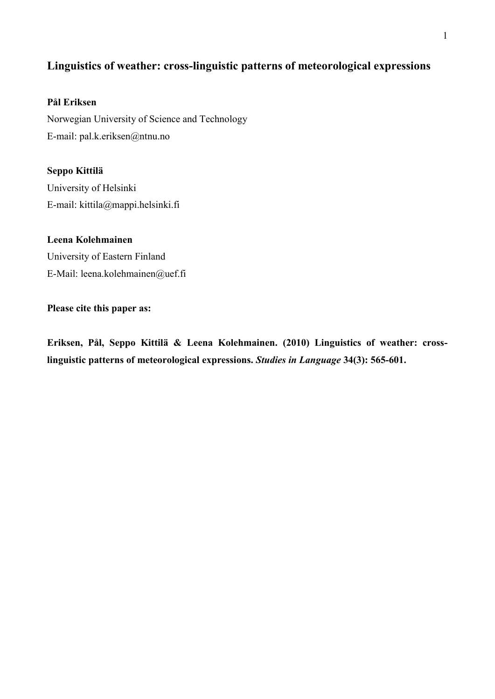# **Linguistics of weather: cross-linguistic patterns of meteorological expressions**

## **Pål Eriksen**

Norwegian University of Science and Technology E-mail: pal.k.eriksen@ntnu.no

**Seppo Kittilä**  University of Helsinki E-mail: kittila@mappi.helsinki.fi

## **Leena Kolehmainen**

University of Eastern Finland E-Mail: leena.kolehmainen@uef.fi

## **Please cite this paper as:**

**Eriksen, Pål, Seppo Kittilä & Leena Kolehmainen. (2010) Linguistics of weather: crosslinguistic patterns of meteorological expressions.** *Studies in Language* **34(3): 565-601.**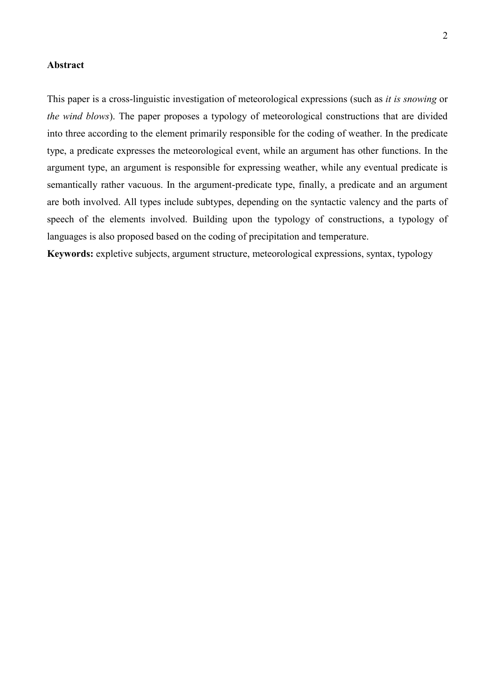#### **Abstract**

This paper is a cross-linguistic investigation of meteorological expressions (such as *it is snowing* or *the wind blows*). The paper proposes a typology of meteorological constructions that are divided into three according to the element primarily responsible for the coding of weather. In the predicate type, a predicate expresses the meteorological event, while an argument has other functions. In the argument type, an argument is responsible for expressing weather, while any eventual predicate is semantically rather vacuous. In the argument-predicate type, finally, a predicate and an argument are both involved. All types include subtypes, depending on the syntactic valency and the parts of speech of the elements involved. Building upon the typology of constructions, a typology of languages is also proposed based on the coding of precipitation and temperature.

**Keywords:** expletive subjects, argument structure, meteorological expressions, syntax, typology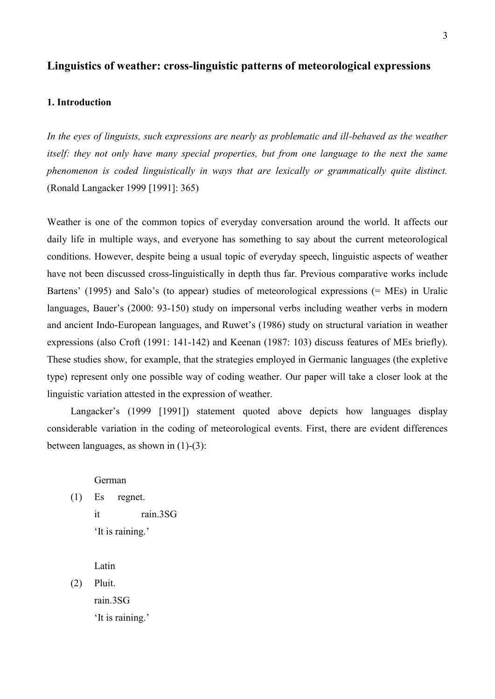## **Linguistics of weather: cross-linguistic patterns of meteorological expressions**

#### **1. Introduction**

*In the eyes of linguists, such expressions are nearly as problematic and ill-behaved as the weather itself: they not only have many special properties, but from one language to the next the same phenomenon is coded linguistically in ways that are lexically or grammatically quite distinct.* (Ronald Langacker 1999 [1991]: 365)

Weather is one of the common topics of everyday conversation around the world. It affects our daily life in multiple ways, and everyone has something to say about the current meteorological conditions. However, despite being a usual topic of everyday speech, linguistic aspects of weather have not been discussed cross-linguistically in depth thus far. Previous comparative works include Bartens' (1995) and Salo's (to appear) studies of meteorological expressions (= MEs) in Uralic languages, Bauer's (2000: 93-150) study on impersonal verbs including weather verbs in modern and ancient Indo-European languages, and Ruwet's (1986) study on structural variation in weather expressions (also Croft (1991: 141-142) and Keenan (1987: 103) discuss features of MEs briefly). These studies show, for example, that the strategies employed in Germanic languages (the expletive type) represent only one possible way of coding weather. Our paper will take a closer look at the linguistic variation attested in the expression of weather.

Langacker's (1999 [1991]) statement quoted above depicts how languages display considerable variation in the coding of meteorological events. First, there are evident differences between languages, as shown in (1)-(3):

German

(1) Es regnet. it rain.3SG 'It is raining.'

Latin

(2) Pluit. rain.3SG 'It is raining.'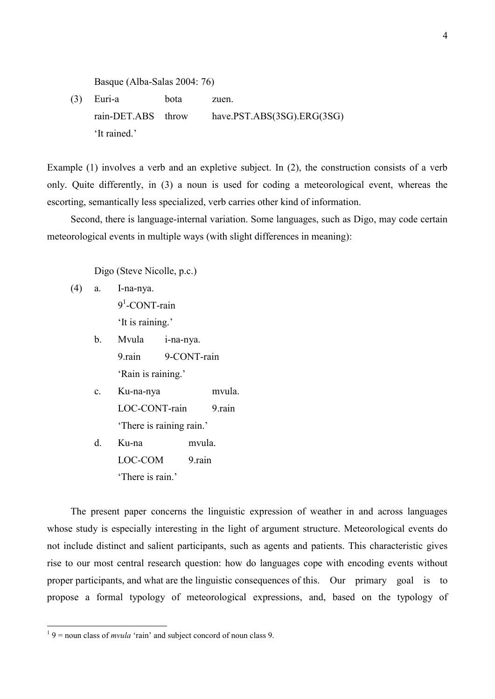Basque (Alba-Salas 2004: 76)

(3) Euri-a bota zuen. rain-DET.ABS throw have.PST.ABS(3SG).ERG(3SG) 'It rained.'

Example (1) involves a verb and an expletive subject. In (2), the construction consists of a verb only. Quite differently, in (3) a noun is used for coding a meteorological event, whereas the escorting, semantically less specialized, verb carries other kind of information.

Second, there is language-internal variation. Some languages, such as Digo, may code certain meteorological events in multiple ways (with slight differences in meaning):

Digo (Steve Nicolle, p.c.)

- (4) a. I-na-nya. 9<sup>1</sup>  $9<sup>1</sup>$ -CONT-rain 'It is raining.'
	- b. Mvula i-na-nya. 9.rain 9-CONT-rain 'Rain is raining.'
	- c. Ku-na-nya mvula. LOC-CONT-rain 9 rain 'There is raining rain.'
	- d. Ku-na mvula. LOC-COM 9 rain 'There is rain.'

 The present paper concerns the linguistic expression of weather in and across languages whose study is especially interesting in the light of argument structure. Meteorological events do not include distinct and salient participants, such as agents and patients. This characteristic gives rise to our most central research question: how do languages cope with encoding events without proper participants, and what are the linguistic consequences of this. Our primary goal is to propose a formal typology of meteorological expressions, and, based on the typology of

 $\frac{1}{1}$  9 = noun class of *mvula* 'rain' and subject concord of noun class 9.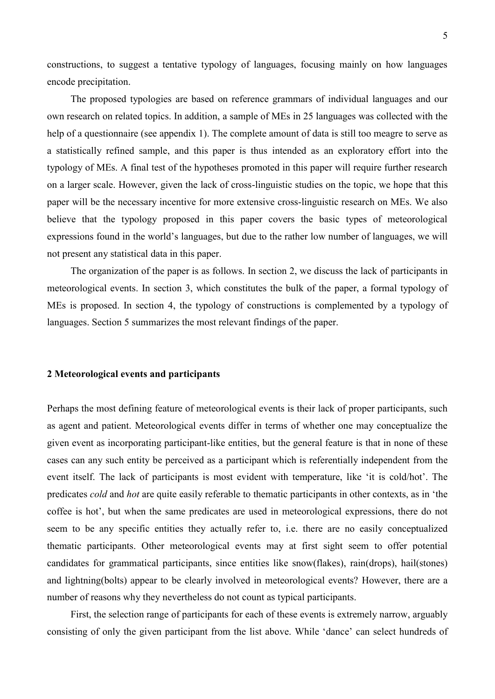constructions, to suggest a tentative typology of languages, focusing mainly on how languages encode precipitation.

The proposed typologies are based on reference grammars of individual languages and our own research on related topics. In addition, a sample of MEs in 25 languages was collected with the help of a questionnaire (see appendix 1). The complete amount of data is still too meagre to serve as a statistically refined sample, and this paper is thus intended as an exploratory effort into the typology of MEs. A final test of the hypotheses promoted in this paper will require further research on a larger scale. However, given the lack of cross-linguistic studies on the topic, we hope that this paper will be the necessary incentive for more extensive cross-linguistic research on MEs. We also believe that the typology proposed in this paper covers the basic types of meteorological expressions found in the world's languages, but due to the rather low number of languages, we will not present any statistical data in this paper.

The organization of the paper is as follows. In section 2, we discuss the lack of participants in meteorological events. In section 3, which constitutes the bulk of the paper, a formal typology of MEs is proposed. In section 4, the typology of constructions is complemented by a typology of languages. Section 5 summarizes the most relevant findings of the paper.

#### **2 Meteorological events and participants**

Perhaps the most defining feature of meteorological events is their lack of proper participants, such as agent and patient. Meteorological events differ in terms of whether one may conceptualize the given event as incorporating participant-like entities, but the general feature is that in none of these cases can any such entity be perceived as a participant which is referentially independent from the event itself. The lack of participants is most evident with temperature, like 'it is cold/hot'. The predicates *cold* and *hot* are quite easily referable to thematic participants in other contexts, as in 'the coffee is hot', but when the same predicates are used in meteorological expressions, there do not seem to be any specific entities they actually refer to, i.e. there are no easily conceptualized thematic participants. Other meteorological events may at first sight seem to offer potential candidates for grammatical participants, since entities like snow(flakes), rain(drops), hail(stones) and lightning(bolts) appear to be clearly involved in meteorological events? However, there are a number of reasons why they nevertheless do not count as typical participants.

 First, the selection range of participants for each of these events is extremely narrow, arguably consisting of only the given participant from the list above. While 'dance' can select hundreds of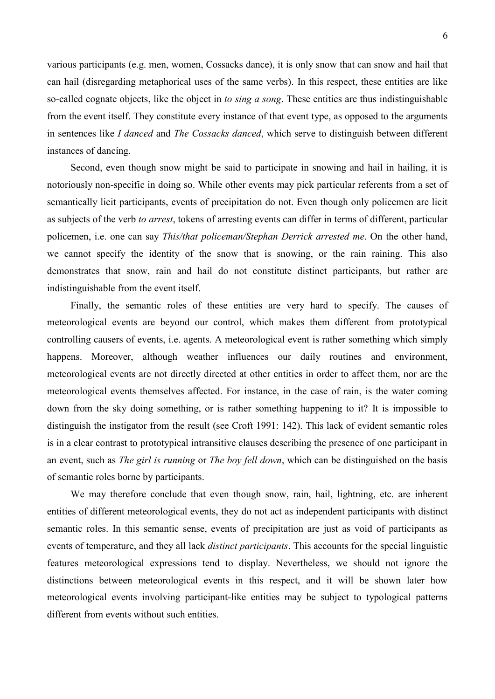various participants (e.g. men, women, Cossacks dance), it is only snow that can snow and hail that can hail (disregarding metaphorical uses of the same verbs). In this respect, these entities are like so-called cognate objects, like the object in *to sing a song*. These entities are thus indistinguishable from the event itself. They constitute every instance of that event type, as opposed to the arguments in sentences like *I danced* and *The Cossacks danced*, which serve to distinguish between different instances of dancing.

 Second, even though snow might be said to participate in snowing and hail in hailing, it is notoriously non-specific in doing so. While other events may pick particular referents from a set of semantically licit participants, events of precipitation do not. Even though only policemen are licit as subjects of the verb *to arrest*, tokens of arresting events can differ in terms of different, particular policemen, i.e. one can say *This/that policeman/Stephan Derrick arrested me*. On the other hand, we cannot specify the identity of the snow that is snowing, or the rain raining. This also demonstrates that snow, rain and hail do not constitute distinct participants, but rather are indistinguishable from the event itself.

 Finally, the semantic roles of these entities are very hard to specify. The causes of meteorological events are beyond our control, which makes them different from prototypical controlling causers of events, i.e. agents. A meteorological event is rather something which simply happens. Moreover, although weather influences our daily routines and environment, meteorological events are not directly directed at other entities in order to affect them, nor are the meteorological events themselves affected. For instance, in the case of rain, is the water coming down from the sky doing something, or is rather something happening to it? It is impossible to distinguish the instigator from the result (see Croft 1991: 142). This lack of evident semantic roles is in a clear contrast to prototypical intransitive clauses describing the presence of one participant in an event, such as *The girl is running* or *The boy fell down*, which can be distinguished on the basis of semantic roles borne by participants.

 We may therefore conclude that even though snow, rain, hail, lightning, etc. are inherent entities of different meteorological events, they do not act as independent participants with distinct semantic roles. In this semantic sense, events of precipitation are just as void of participants as events of temperature, and they all lack *distinct participants*. This accounts for the special linguistic features meteorological expressions tend to display. Nevertheless, we should not ignore the distinctions between meteorological events in this respect, and it will be shown later how meteorological events involving participant-like entities may be subject to typological patterns different from events without such entities.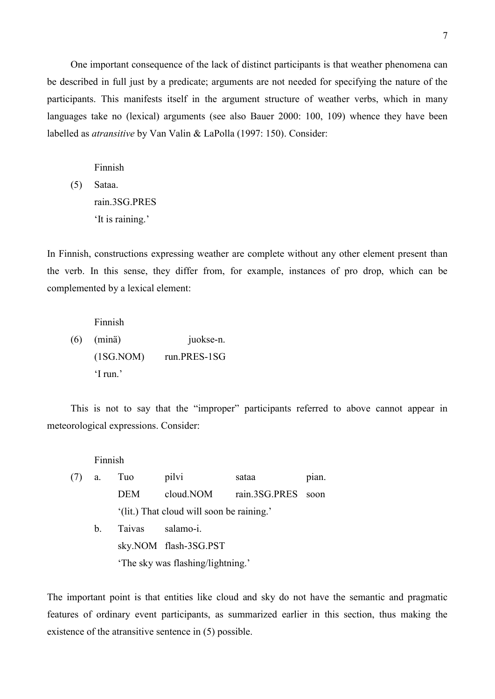One important consequence of the lack of distinct participants is that weather phenomena can be described in full just by a predicate; arguments are not needed for specifying the nature of the participants. This manifests itself in the argument structure of weather verbs, which in many languages take no (lexical) arguments (see also Bauer 2000: 100, 109) whence they have been labelled as *atransitive* by Van Valin & LaPolla (1997: 150). Consider:

Finnish

(5) Sataa. rain.3SG.PRES 'It is raining.'

In Finnish, constructions expressing weather are complete without any other element present than the verb. In this sense, they differ from, for example, instances of pro drop, which can be complemented by a lexical element:

Finnish

 (6) (minä) juokse-n. (1SG.NOM) run.PRES-1SG 'I run.'

This is not to say that the "improper" participants referred to above cannot appear in meteorological expressions. Consider:

Finnish

| (7) | <b>a</b> . | Tuo    | pilvi                                   | sataa              | pian. |
|-----|------------|--------|-----------------------------------------|--------------------|-------|
|     |            | DEM    | cloud.NOM                               | rain.3SG.PRES soon |       |
|     |            |        | (lit.) That cloud will soon be raining. |                    |       |
|     | $b_{-}$    | Taivas | salamo-i.                               |                    |       |
|     |            |        | sky.NOM flash-3SG.PST                   |                    |       |
|     |            |        | 'The sky was flashing/lightning.'       |                    |       |

The important point is that entities like cloud and sky do not have the semantic and pragmatic features of ordinary event participants, as summarized earlier in this section, thus making the existence of the atransitive sentence in (5) possible.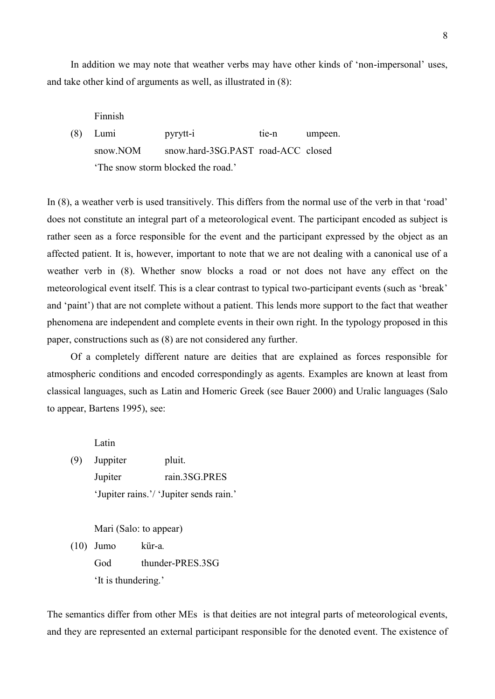In addition we may note that weather verbs may have other kinds of 'non-impersonal' uses, and take other kind of arguments as well, as illustrated in (8):

Finnish

(8) Lumi pyrytt-i tie-n umpeen. snow.NOM snow.hard-3SG.PAST road-ACC closed 'The snow storm blocked the road.'

In (8), a weather verb is used transitively. This differs from the normal use of the verb in that 'road' does not constitute an integral part of a meteorological event. The participant encoded as subject is rather seen as a force responsible for the event and the participant expressed by the object as an affected patient. It is, however, important to note that we are not dealing with a canonical use of a weather verb in (8). Whether snow blocks a road or not does not have any effect on the meteorological event itself. This is a clear contrast to typical two-participant events (such as 'break' and 'paint') that are not complete without a patient. This lends more support to the fact that weather phenomena are independent and complete events in their own right. In the typology proposed in this paper, constructions such as (8) are not considered any further.

Of a completely different nature are deities that are explained as forces responsible for atmospheric conditions and encoded correspondingly as agents. Examples are known at least from classical languages, such as Latin and Homeric Greek (see Bauer 2000) and Uralic languages (Salo to appear, Bartens 1995), see:

**Latin** 

(9) Juppiter pluit. Jupiter rain.3SG.PRES 'Jupiter rains.'/ 'Jupiter sends rain.'

Mari (Salo: to appear)

(10) Jumo kür-a*.*  God thunder-PRES.3SG 'It is thundering.'

The semantics differ from other MEs is that deities are not integral parts of meteorological events, and they are represented an external participant responsible for the denoted event. The existence of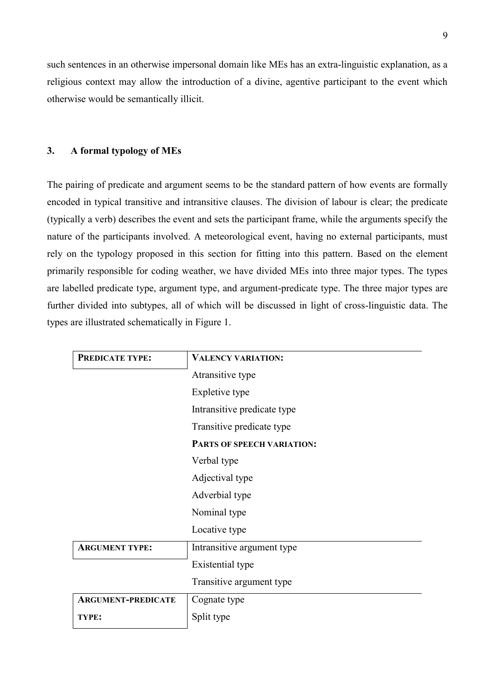such sentences in an otherwise impersonal domain like MEs has an extra-linguistic explanation, as a religious context may allow the introduction of a divine, agentive participant to the event which otherwise would be semantically illicit.

## **3. A formal typology of MEs**

The pairing of predicate and argument seems to be the standard pattern of how events are formally encoded in typical transitive and intransitive clauses. The division of labour is clear; the predicate (typically a verb) describes the event and sets the participant frame, while the arguments specify the nature of the participants involved. A meteorological event, having no external participants, must rely on the typology proposed in this section for fitting into this pattern. Based on the element primarily responsible for coding weather, we have divided MEs into three major types. The types are labelled predicate type, argument type, and argument-predicate type. The three major types are further divided into subtypes, all of which will be discussed in light of cross-linguistic data. The types are illustrated schematically in Figure 1.

| <b>PREDICATE TYPE:</b>    | <b>VALENCY VARIATION:</b>   |  |  |  |
|---------------------------|-----------------------------|--|--|--|
|                           | Atransitive type            |  |  |  |
|                           | Expletive type              |  |  |  |
|                           | Intransitive predicate type |  |  |  |
|                           | Transitive predicate type   |  |  |  |
|                           | PARTS OF SPEECH VARIATION:  |  |  |  |
|                           | Verbal type                 |  |  |  |
|                           | Adjectival type             |  |  |  |
|                           | Adverbial type              |  |  |  |
|                           | Nominal type                |  |  |  |
|                           | Locative type               |  |  |  |
| <b>ARGUMENT TYPE:</b>     | Intransitive argument type  |  |  |  |
|                           | Existential type            |  |  |  |
|                           | Transitive argument type    |  |  |  |
| <b>ARGUMENT-PREDICATE</b> | Cognate type                |  |  |  |
| TYPE:                     | Split type                  |  |  |  |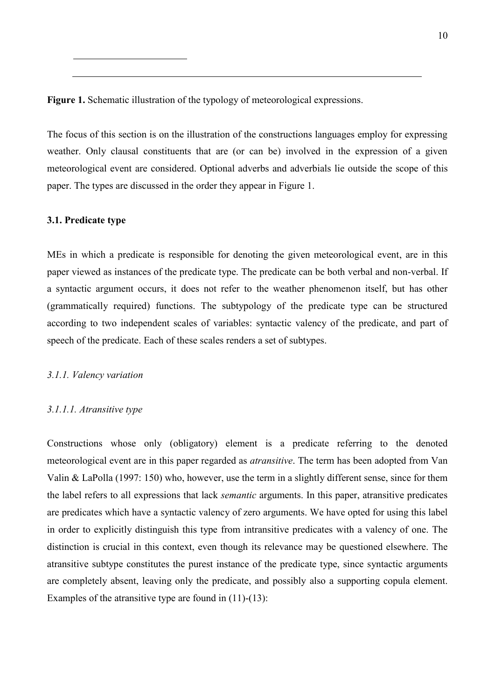**Figure 1.** Schematic illustration of the typology of meteorological expressions.

The focus of this section is on the illustration of the constructions languages employ for expressing weather. Only clausal constituents that are (or can be) involved in the expression of a given meteorological event are considered. Optional adverbs and adverbials lie outside the scope of this paper. The types are discussed in the order they appear in Figure 1.

#### **3.1. Predicate type**

MEs in which a predicate is responsible for denoting the given meteorological event, are in this paper viewed as instances of the predicate type. The predicate can be both verbal and non-verbal. If a syntactic argument occurs, it does not refer to the weather phenomenon itself, but has other (grammatically required) functions. The subtypology of the predicate type can be structured according to two independent scales of variables: syntactic valency of the predicate, and part of speech of the predicate. Each of these scales renders a set of subtypes.

#### *3.1.1. Valency variation*

#### *3.1.1.1. Atransitive type*

Constructions whose only (obligatory) element is a predicate referring to the denoted meteorological event are in this paper regarded as *atransitive*. The term has been adopted from Van Valin & LaPolla (1997: 150) who, however, use the term in a slightly different sense, since for them the label refers to all expressions that lack *semantic* arguments. In this paper, atransitive predicates are predicates which have a syntactic valency of zero arguments. We have opted for using this label in order to explicitly distinguish this type from intransitive predicates with a valency of one. The distinction is crucial in this context, even though its relevance may be questioned elsewhere. The atransitive subtype constitutes the purest instance of the predicate type, since syntactic arguments are completely absent, leaving only the predicate, and possibly also a supporting copula element. Examples of the atransitive type are found in  $(11)-(13)$ :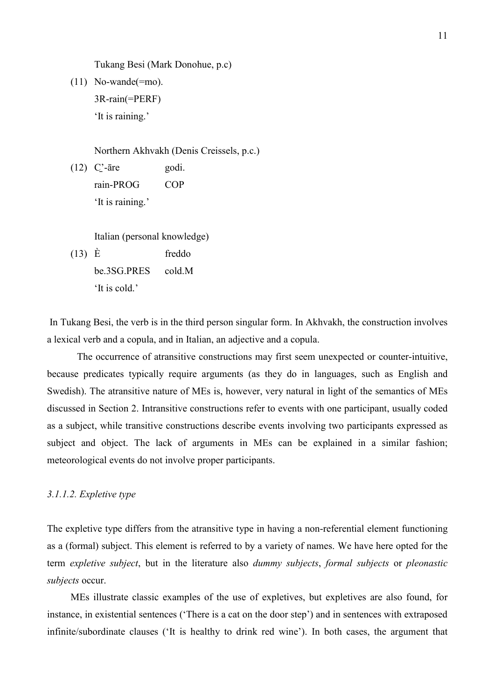Tukang Besi (Mark Donohue, p.c)

(11) No-wande(=mo). 3R-rain(=PERF) 'It is raining.'

Northern Akhvakh (Denis Creissels, p.c.)

 $(12)$  C'-āre godi. rain-PROG COP 'It is raining.'

Italian (personal knowledge)

 $(13)$   $\dot{E}$  freddo be.3SG.PRES cold M 'It is cold.'

 In Tukang Besi, the verb is in the third person singular form. In Akhvakh, the construction involves a lexical verb and a copula, and in Italian, an adjective and a copula.

The occurrence of atransitive constructions may first seem unexpected or counter-intuitive, because predicates typically require arguments (as they do in languages, such as English and Swedish). The atransitive nature of MEs is, however, very natural in light of the semantics of MEs discussed in Section 2. Intransitive constructions refer to events with one participant, usually coded as a subject, while transitive constructions describe events involving two participants expressed as subject and object. The lack of arguments in MEs can be explained in a similar fashion; meteorological events do not involve proper participants.

## *3.1.1.2. Expletive type*

The expletive type differs from the atransitive type in having a non-referential element functioning as a (formal) subject. This element is referred to by a variety of names. We have here opted for the term *expletive subject*, but in the literature also *dummy subjects*, *formal subjects* or *pleonastic subjects* occur.

 MEs illustrate classic examples of the use of expletives, but expletives are also found, for instance, in existential sentences ('There is a cat on the door step') and in sentences with extraposed infinite/subordinate clauses ('It is healthy to drink red wine'). In both cases, the argument that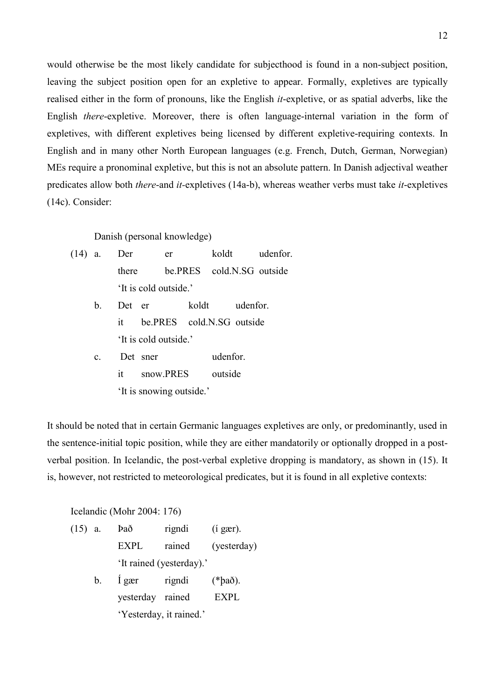would otherwise be the most likely candidate for subjecthood is found in a non-subject position, leaving the subject position open for an expletive to appear. Formally, expletives are typically realised either in the form of pronouns, like the English *it*-expletive, or as spatial adverbs, like the English *there*-expletive. Moreover, there is often language-internal variation in the form of expletives, with different expletives being licensed by different expletive-requiring contexts. In English and in many other North European languages (e.g. French, Dutch, German, Norwegian) MEs require a pronominal expletive, but this is not an absolute pattern. In Danish adjectival weather predicates allow both *there*-and *it-*expletives (14a-b), whereas weather verbs must take *it*-expletives (14c). Consider:

## Danish (personal knowledge)

- (14) a. Der er koldt udenfor. there be.PRES cold N.S.G outside. 'It is cold outside.'
	- b. Det er koldt udenfor. it be.PRES cold.N.SG outside 'It is cold outside.'
	- c. Det sner udenfor. it snow.PRES outside 'It is snowing outside.'

It should be noted that in certain Germanic languages expletives are only, or predominantly, used in the sentence-initial topic position, while they are either mandatorily or optionally dropped in a postverbal position. In Icelandic, the post-verbal expletive dropping is mandatory, as shown in (15). It is, however, not restricted to meteorological predicates, but it is found in all expletive contexts:

Icelandic (Mohr 2004: 176)

 (15) a. Það rigndi (í gær). **EXPL** rained (yesterday) 'It rained (yesterday).' b. Í gær rigndi (\*það). yesterday rained EXPL

'Yesterday, it rained.'

12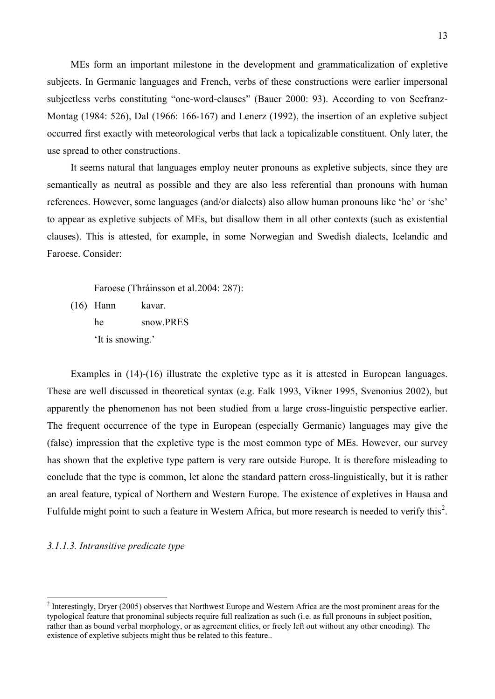MEs form an important milestone in the development and grammaticalization of expletive subjects. In Germanic languages and French, verbs of these constructions were earlier impersonal subjectless verbs constituting "one-word-clauses" (Bauer 2000: 93). According to von Seefranz-Montag (1984: 526), Dal (1966: 166-167) and Lenerz (1992), the insertion of an expletive subject occurred first exactly with meteorological verbs that lack a topicalizable constituent. Only later, the use spread to other constructions.

 It seems natural that languages employ neuter pronouns as expletive subjects, since they are semantically as neutral as possible and they are also less referential than pronouns with human references. However, some languages (and/or dialects) also allow human pronouns like 'he' or 'she' to appear as expletive subjects of MEs, but disallow them in all other contexts (such as existential clauses). This is attested, for example, in some Norwegian and Swedish dialects, Icelandic and Faroese. Consider:

Faroese (Thráinsson et al.2004: 287):

(16) Hann kavar. he snow.PRES 'It is snowing.'

Examples in (14)-(16) illustrate the expletive type as it is attested in European languages. These are well discussed in theoretical syntax (e.g. Falk 1993, Vikner 1995, Svenonius 2002), but apparently the phenomenon has not been studied from a large cross-linguistic perspective earlier. The frequent occurrence of the type in European (especially Germanic) languages may give the (false) impression that the expletive type is the most common type of MEs. However, our survey has shown that the expletive type pattern is very rare outside Europe. It is therefore misleading to conclude that the type is common, let alone the standard pattern cross-linguistically, but it is rather an areal feature, typical of Northern and Western Europe. The existence of expletives in Hausa and Fulfulde might point to such a feature in Western Africa, but more research is needed to verify this<sup>2</sup>.

#### *3.1.1.3. Intransitive predicate type*

<sup>&</sup>lt;sup>2</sup> Interestingly, Dryer (2005) observes that Northwest Europe and Western Africa are the most prominent areas for the typological feature that pronominal subjects require full realization as such (i.e. as full pronouns in subject position, rather than as bound verbal morphology, or as agreement clitics, or freely left out without any other encoding). The existence of expletive subjects might thus be related to this feature..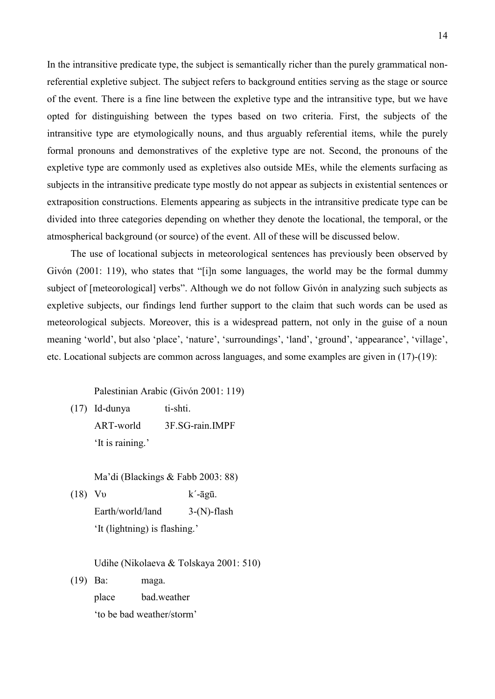In the intransitive predicate type, the subject is semantically richer than the purely grammatical nonreferential expletive subject. The subject refers to background entities serving as the stage or source of the event. There is a fine line between the expletive type and the intransitive type, but we have opted for distinguishing between the types based on two criteria. First, the subjects of the intransitive type are etymologically nouns, and thus arguably referential items, while the purely formal pronouns and demonstratives of the expletive type are not. Second, the pronouns of the expletive type are commonly used as expletives also outside MEs, while the elements surfacing as subjects in the intransitive predicate type mostly do not appear as subjects in existential sentences or extraposition constructions. Elements appearing as subjects in the intransitive predicate type can be divided into three categories depending on whether they denote the locational, the temporal, or the atmospherical background (or source) of the event. All of these will be discussed below.

 The use of locational subjects in meteorological sentences has previously been observed by Givón (2001: 119), who states that "[i]n some languages, the world may be the formal dummy subject of [meteorological] verbs". Although we do not follow Givón in analyzing such subjects as expletive subjects, our findings lend further support to the claim that such words can be used as meteorological subjects. Moreover, this is a widespread pattern, not only in the guise of a noun meaning 'world', but also 'place', 'nature', 'surroundings', 'land', 'ground', 'appearance', 'village', etc. Locational subjects are common across languages, and some examples are given in (17)-(19):

Palestinian Arabic (Givón 2001: 119)

(17) Id-dunya ti-shti. ART-world 3F.SG-rain.IMPF 'It is raining.'

Ma'di (Blackings & Fabb 2003: 88)

(18) Vv  $k'$ -āgū. Earth/world/land 3-(N)-flash 'It (lightning) is flashing.'

Udihe (Nikolaeva & Tolskaya 2001: 510)

(19) Ba: maga.

place bad.weather

'to be bad weather/storm'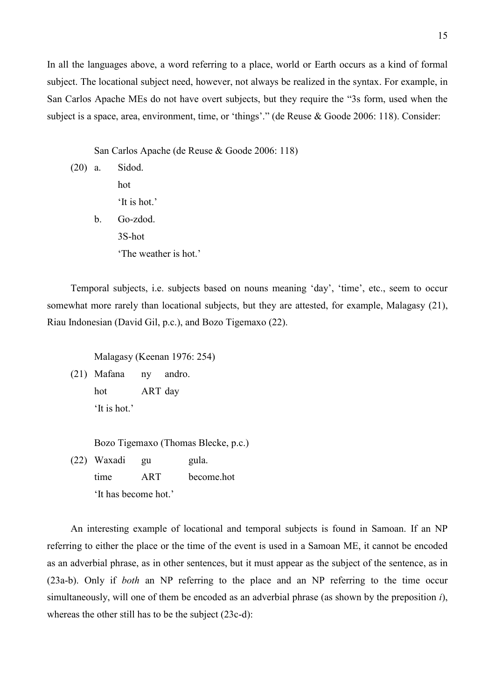In all the languages above, a word referring to a place, world or Earth occurs as a kind of formal subject. The locational subject need, however, not always be realized in the syntax. For example, in San Carlos Apache MEs do not have overt subjects, but they require the "3s form, used when the subject is a space, area, environment, time, or 'things'." (de Reuse & Goode 2006: 118). Consider:

San Carlos Apache (de Reuse & Goode 2006: 118)

| $(20)$ a. |    | Sidod.                |
|-----------|----|-----------------------|
|           |    | hot                   |
|           |    | 'It is hot.'          |
|           | b. | Go-zdod.              |
|           |    | 3S-hot                |
|           |    | 'The weather is hot.' |
|           |    |                       |

Temporal subjects, i.e. subjects based on nouns meaning 'day', 'time', etc., seem to occur somewhat more rarely than locational subjects, but they are attested, for example, Malagasy (21), Riau Indonesian (David Gil, p.c.), and Bozo Tigemaxo (22).

Malagasy (Keenan 1976: 254)

(21) Mafana ny andro. hot ART day 'It is hot.'

Bozo Tigemaxo (Thomas Blecke, p.c.)

(22) Waxadi gu gula. time ART become.hot 'It has become hot.'

An interesting example of locational and temporal subjects is found in Samoan. If an NP referring to either the place or the time of the event is used in a Samoan ME, it cannot be encoded as an adverbial phrase, as in other sentences, but it must appear as the subject of the sentence, as in (23a-b). Only if *both* an NP referring to the place and an NP referring to the time occur simultaneously, will one of them be encoded as an adverbial phrase (as shown by the preposition *i*), whereas the other still has to be the subject (23c-d):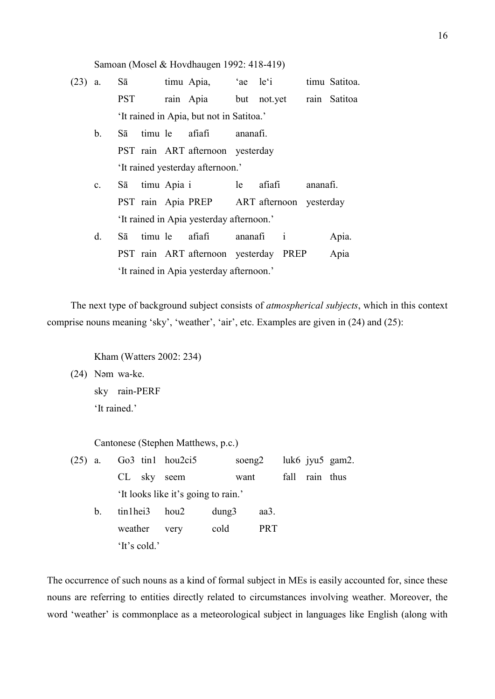Samoan (Mosel & Hovdhaugen 1992: 418-419)

| (23) | $a$ .          |            | $S\bar{a}$ | timu Apia, <i>a</i> e le'i                 |          |           |  | timu Satitoa. |
|------|----------------|------------|------------|--------------------------------------------|----------|-----------|--|---------------|
|      |                | <b>PST</b> |            | rain Apia but not yet rain Satitoa         |          |           |  |               |
|      |                |            |            | 'It rained in Apia, but not in Satitoa.'   |          |           |  |               |
|      | $b_{-}$        | Sā         |            | timu le afiafi                             | ananafi. |           |  |               |
|      |                |            |            | PST rain ART afternoon yesterday           |          |           |  |               |
|      |                |            |            | 'It rained yesterday afternoon.'           |          |           |  |               |
|      | $\mathbf{c}$ . |            |            | Sā timu Apia i le afiafi ananafi.          |          |           |  |               |
|      |                |            |            | PST rain Apia PREP ART afternoon yesterday |          |           |  |               |
|      |                |            |            | 'It rained in Apia yesterday afternoon.'   |          |           |  |               |
|      | d.             | Sā         |            | timu le afiafi                             |          | ananafi i |  | Apia.         |
|      |                |            |            | PST rain ART afternoon yesterday PREP      |          |           |  | Apia          |
|      |                |            |            | 'It rained in Apia yesterday afternoon.'   |          |           |  |               |

 The next type of background subject consists of *atmospherical subjects*, which in this context comprise nouns meaning 'sky', 'weather', 'air', etc. Examples are given in (24) and (25):

Kham (Watters 2002: 234)

(24) Nəm wa-ke.

 sky rain-PERF 'It rained.'

Cantonese (Stephen Matthews, p.c.)

|         | $(25)$ a. Go3 tin1 hou2ci5 |                                     |             | soeng2     |                | luk6 jyu5 gam2. |
|---------|----------------------------|-------------------------------------|-------------|------------|----------------|-----------------|
|         | CL sky seem                |                                     | want        |            | fall rain thus |                 |
|         |                            | 'It looks like it's going to rain.' |             |            |                |                 |
| $b_{-}$ | $tin1$ hei $3$ hou $2$     |                                     | $d$ ung $3$ | aa3.       |                |                 |
|         | weather very               |                                     | cold        | <b>PRT</b> |                |                 |
|         | 'It's cold.'               |                                     |             |            |                |                 |

The occurrence of such nouns as a kind of formal subject in MEs is easily accounted for, since these nouns are referring to entities directly related to circumstances involving weather. Moreover, the word 'weather' is commonplace as a meteorological subject in languages like English (along with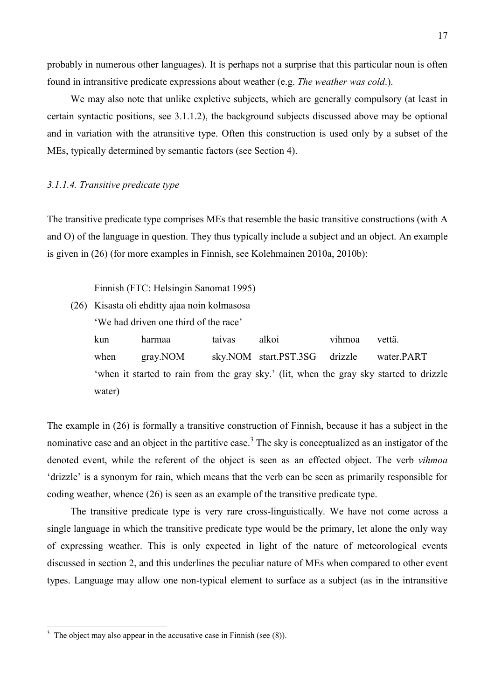probably in numerous other languages). It is perhaps not a surprise that this particular noun is often found in intransitive predicate expressions about weather (e.g. *The weather was cold*.).

We may also note that unlike expletive subjects, which are generally compulsory (at least in certain syntactic positions, see 3.1.1.2), the background subjects discussed above may be optional and in variation with the atransitive type. Often this construction is used only by a subset of the MEs, typically determined by semantic factors (see Section 4).

#### *3.1.1.4. Transitive predicate type*

The transitive predicate type comprises MEs that resemble the basic transitive constructions (with A and O) of the language in question. They thus typically include a subject and an object. An example is given in (26) (for more examples in Finnish, see Kolehmainen 2010a, 2010b):

Finnish (FTC: Helsingin Sanomat 1995)

(26) Kisasta oli ehditty ajaa noin kolmasosa

'We had driven one third of the race'

 kun harmaa taivas alkoi vihmoa vettä. when gray.NOM sky.NOM start.PST.3SG drizzle water.PART 'when it started to rain from the gray sky.' (lit, when the gray sky started to drizzle water)

The example in (26) is formally a transitive construction of Finnish, because it has a subject in the nominative case and an object in the partitive case.<sup>3</sup> The sky is conceptualized as an instigator of the denoted event, while the referent of the object is seen as an effected object. The verb *vihmoa* 'drizzle' is a synonym for rain, which means that the verb can be seen as primarily responsible for coding weather, whence (26) is seen as an example of the transitive predicate type.

 The transitive predicate type is very rare cross-linguistically. We have not come across a single language in which the transitive predicate type would be the primary, let alone the only way of expressing weather. This is only expected in light of the nature of meteorological events discussed in section 2, and this underlines the peculiar nature of MEs when compared to other event types. Language may allow one non-typical element to surface as a subject (as in the intransitive

 $\frac{3}{\sqrt{3}}$  The object may also appear in the accusative case in Finnish (see (8)).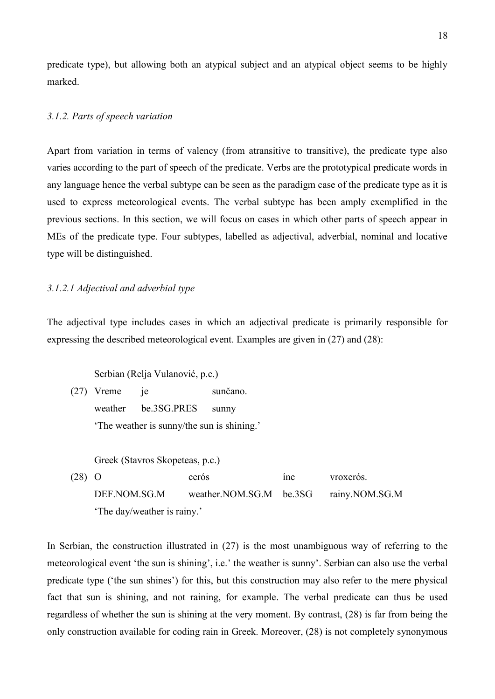predicate type), but allowing both an atypical subject and an atypical object seems to be highly marked.

#### *3.1.2. Parts of speech variation*

Apart from variation in terms of valency (from atransitive to transitive), the predicate type also varies according to the part of speech of the predicate. Verbs are the prototypical predicate words in any language hence the verbal subtype can be seen as the paradigm case of the predicate type as it is used to express meteorological events. The verbal subtype has been amply exemplified in the previous sections. In this section, we will focus on cases in which other parts of speech appear in MEs of the predicate type. Four subtypes, labelled as adjectival, adverbial, nominal and locative type will be distinguished.

### *3.1.2.1 Adjectival and adverbial type*

The adjectival type includes cases in which an adjectival predicate is primarily responsible for expressing the described meteorological event. Examples are given in (27) and (28):

Serbian (Relja Vulanović, p.c.)

(27) Vreme je sunčano. weather be. 3SG. PRES sunny 'The weather is sunny/the sun is shining.'

 Greek (Stavros Skopeteas, p.c.) (28) O cerós íne vroxerós. DEF.NOM.SG.M weather.NOM.SG.M be.3SG rainy.NOM.SG.M 'The day/weather is rainy.'

In Serbian, the construction illustrated in (27) is the most unambiguous way of referring to the meteorological event 'the sun is shining', i.e.' the weather is sunny'. Serbian can also use the verbal predicate type ('the sun shines') for this, but this construction may also refer to the mere physical fact that sun is shining, and not raining, for example. The verbal predicate can thus be used regardless of whether the sun is shining at the very moment. By contrast, (28) is far from being the only construction available for coding rain in Greek. Moreover, (28) is not completely synonymous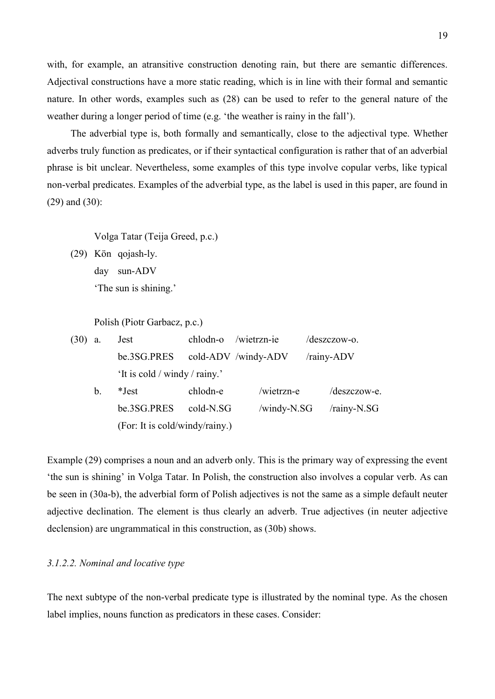with, for example, an atransitive construction denoting rain, but there are semantic differences. Adjectival constructions have a more static reading, which is in line with their formal and semantic nature. In other words, examples such as (28) can be used to refer to the general nature of the weather during a longer period of time (e.g. 'the weather is rainy in the fall').

 The adverbial type is, both formally and semantically, close to the adjectival type. Whether adverbs truly function as predicates, or if their syntactical configuration is rather that of an adverbial phrase is bit unclear. Nevertheless, some examples of this type involve copular verbs, like typical non-verbal predicates. Examples of the adverbial type, as the label is used in this paper, are found in (29) and (30):

Volga Tatar (Teija Greed, p.c.)

(29) Kön qojash-ly. day sun-ADV 'The sun is shining.'

Polish (Piotr Garbacz, p.c.)

| $(30)$ a.      | Jest                           | chlodn-o            | /wietrzn-ie | /deszczow-o. |
|----------------|--------------------------------|---------------------|-------------|--------------|
|                | be.3SG.PRES                    | cold-ADV /windy-ADV |             | /rainy-ADV   |
|                | 'It is cold / windy / rainy.'  |                     |             |              |
| $\mathbf{b}$ . | $*Test$                        | chlodn-e            | /wietrzn-e  | /deszczow-e. |
|                | be.3SG.PRES                    | $cold-N.SG$         | /windy-N.SG | /rainy-N.SG  |
|                | (For: It is cold/windy/rainy.) |                     |             |              |

Example (29) comprises a noun and an adverb only. This is the primary way of expressing the event 'the sun is shining' in Volga Tatar. In Polish, the construction also involves a copular verb. As can be seen in (30a-b), the adverbial form of Polish adjectives is not the same as a simple default neuter adjective declination. The element is thus clearly an adverb. True adjectives (in neuter adjective declension) are ungrammatical in this construction, as (30b) shows.

### *3.1.2.2. Nominal and locative type*

The next subtype of the non-verbal predicate type is illustrated by the nominal type. As the chosen label implies, nouns function as predicators in these cases. Consider: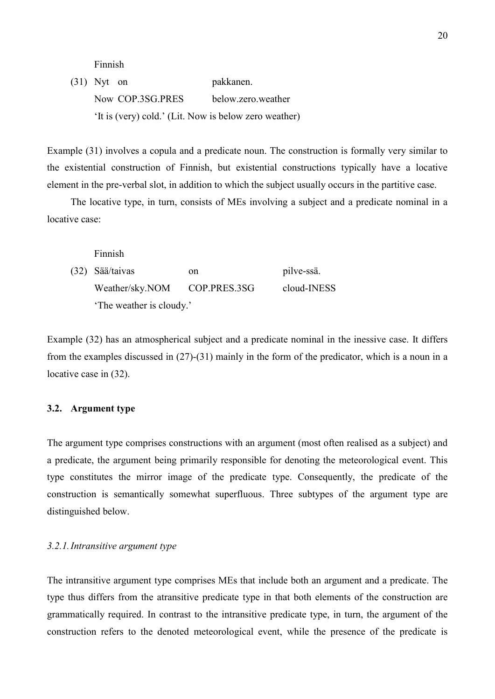Finnish

(31) Nyt on pakkanen. Now COP.3SG.PRES below zero.weather 'It is (very) cold.' (Lit. Now is below zero weather)

Example (31) involves a copula and a predicate noun. The construction is formally very similar to the existential construction of Finnish, but existential constructions typically have a locative element in the pre-verbal slot, in addition to which the subject usually occurs in the partitive case.

The locative type, in turn, consists of MEs involving a subject and a predicate nominal in a locative case:

|  | Finnish                      |    |             |
|--|------------------------------|----|-------------|
|  | $(32)$ Sää/taivas            | on | pilve-ssä.  |
|  | Weather/sky.NOM COP.PRES.3SG |    | cloud-INESS |
|  | 'The weather is cloudy.'     |    |             |

Example (32) has an atmospherical subject and a predicate nominal in the inessive case. It differs from the examples discussed in (27)-(31) mainly in the form of the predicator, which is a noun in a locative case in (32).

## **3.2. Argument type**

The argument type comprises constructions with an argument (most often realised as a subject) and a predicate, the argument being primarily responsible for denoting the meteorological event. This type constitutes the mirror image of the predicate type. Consequently, the predicate of the construction is semantically somewhat superfluous. Three subtypes of the argument type are distinguished below.

### *3.2.1. Intransitive argument type*

The intransitive argument type comprises MEs that include both an argument and a predicate. The type thus differs from the atransitive predicate type in that both elements of the construction are grammatically required. In contrast to the intransitive predicate type, in turn, the argument of the construction refers to the denoted meteorological event, while the presence of the predicate is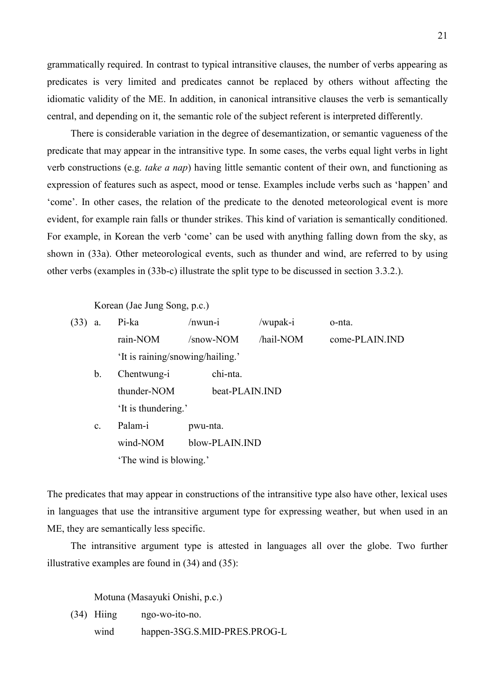grammatically required. In contrast to typical intransitive clauses, the number of verbs appearing as predicates is very limited and predicates cannot be replaced by others without affecting the idiomatic validity of the ME. In addition, in canonical intransitive clauses the verb is semantically central, and depending on it, the semantic role of the subject referent is interpreted differently.

 There is considerable variation in the degree of desemantization, or semantic vagueness of the predicate that may appear in the intransitive type. In some cases, the verbs equal light verbs in light verb constructions (e.g. *take a nap*) having little semantic content of their own, and functioning as expression of features such as aspect, mood or tense. Examples include verbs such as 'happen' and 'come'. In other cases, the relation of the predicate to the denoted meteorological event is more evident, for example rain falls or thunder strikes. This kind of variation is semantically conditioned. For example, in Korean the verb 'come' can be used with anything falling down from the sky, as shown in (33a). Other meteorological events, such as thunder and wind, are referred to by using other verbs (examples in (33b-c) illustrate the split type to be discussed in section 3.3.2.).

Korean (Jae Jung Song, p.c.)

| (33) | a.              | Pi-ka                            | /nwun-i        | /wupak-i  | o-nta.         |
|------|-----------------|----------------------------------|----------------|-----------|----------------|
|      |                 | rain-NOM                         | /snow-NOM      | /hail-NOM | come-PLAIN.IND |
|      |                 | 'It is raining/snowing/hailing.' |                |           |                |
|      | b.              | Chentwung-i                      | chi-nta.       |           |                |
|      |                 | thunder-NOM                      | beat-PLAIN.IND |           |                |
|      |                 | 'It is thundering.'              |                |           |                |
|      | $\mathcal{C}$ . | Palam-i                          | pwu-nta.       |           |                |
|      |                 | wind-NOM                         | blow-PLAIN.IND |           |                |
|      |                 |                                  |                |           |                |

'The wind is blowing.'

The predicates that may appear in constructions of the intransitive type also have other, lexical uses in languages that use the intransitive argument type for expressing weather, but when used in an ME, they are semantically less specific.

 The intransitive argument type is attested in languages all over the globe. Two further illustrative examples are found in (34) and (35):

Motuna (Masayuki Onishi, p.c.)

(34) Hiing ngo-wo-ito-no. wind happen-3SG.S.MID-PRES.PROG-L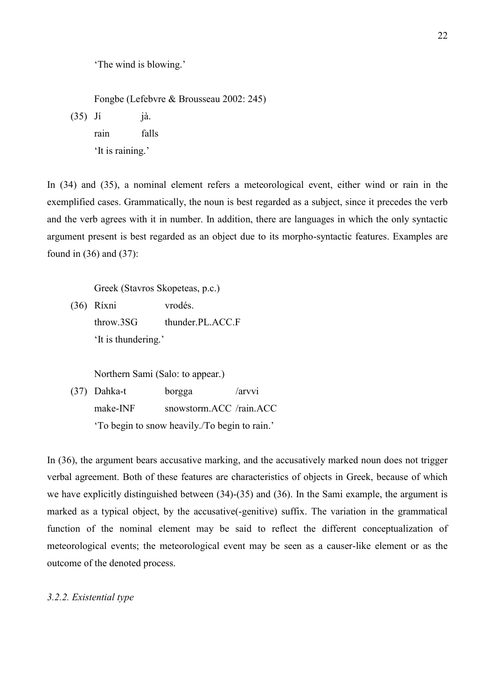'The wind is blowing.'

Fongbe (Lefebvre & Brousseau 2002: 245)

(35) Jí jà. rain falls 'It is raining.'

In (34) and (35), a nominal element refers a meteorological event, either wind or rain in the exemplified cases. Grammatically, the noun is best regarded as a subject, since it precedes the verb and the verb agrees with it in number. In addition, there are languages in which the only syntactic argument present is best regarded as an object due to its morpho-syntactic features. Examples are found in (36) and (37):

Greek (Stavros Skopeteas, p.c.)

(36) Ríxni vrodés. throw.3SG thunder.PL.ACC.F 'It is thundering.'

Northern Sami (Salo: to appear.)

(37) Dahka-t borgga /arvvi make-INF snowstorm.ACC /rain.ACC 'To begin to snow heavily./To begin to rain.'

In (36), the argument bears accusative marking, and the accusatively marked noun does not trigger verbal agreement. Both of these features are characteristics of objects in Greek, because of which we have explicitly distinguished between (34)-(35) and (36). In the Sami example, the argument is marked as a typical object, by the accusative(-genitive) suffix. The variation in the grammatical function of the nominal element may be said to reflect the different conceptualization of meteorological events; the meteorological event may be seen as a causer-like element or as the outcome of the denoted process.

*3.2.2. Existential type*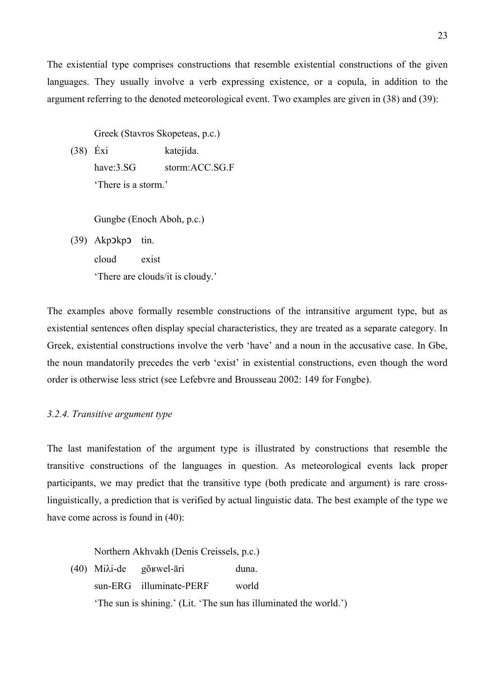The existential type comprises constructions that resemble existential constructions of the given languages. They usually involve a verb expressing existence, or a copula, in addition to the argument referring to the denoted meteorological event. Two examples are given in (38) and (39):

Greek (Stavros Skopeteas, p.c.)

(38) Éxi katejída. have:3.SG storm:ACC.SG.F 'There is a storm.'

Gungbe (Enoch Aboh, p.c.)

(39) Akpɔkpɔ tin.

 cloud exist 'There are clouds/it is cloudy.'

The examples above formally resemble constructions of the intransitive argument type, but as existential sentences often display special characteristics, they are treated as a separate category. In Greek, existential constructions involve the verb 'have' and a noun in the accusative case. In Gbe, the noun mandatorily precedes the verb 'exist' in existential constructions, even though the word order is otherwise less strict (see Lefebvre and Brousseau 2002: 149 for Fongbe).

#### *3.2.4. Transitive argument type*

The last manifestation of the argument type is illustrated by constructions that resemble the transitive constructions of the languages in question. As meteorological events lack proper participants, we may predict that the transitive type (both predicate and argument) is rare crosslinguistically, a prediction that is verified by actual linguistic data. The best example of the type we have come across is found in (40):

Northern Akhvakh (Denis Creissels, p.c.)

(40) Miλi-de gõʁwel-āri duna. sun-ERG illuminate-PERF world 'The sun is shining.' (Lit. 'The sun has illuminated the world.')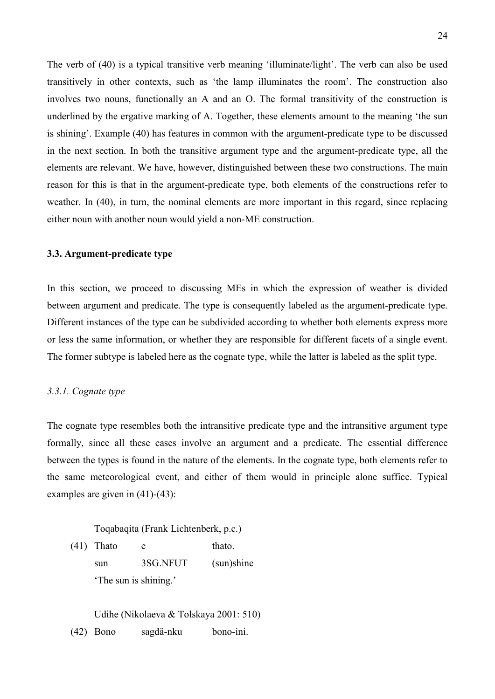The verb of (40) is a typical transitive verb meaning 'illuminate/light'. The verb can also be used transitively in other contexts, such as 'the lamp illuminates the room'. The construction also involves two nouns, functionally an A and an O. The formal transitivity of the construction is underlined by the ergative marking of A. Together, these elements amount to the meaning 'the sun is shining'. Example (40) has features in common with the argument-predicate type to be discussed in the next section. In both the transitive argument type and the argument-predicate type, all the elements are relevant. We have, however, distinguished between these two constructions. The main reason for this is that in the argument-predicate type, both elements of the constructions refer to weather. In (40), in turn, the nominal elements are more important in this regard, since replacing either noun with another noun would yield a non-ME construction.

### **3.3. Argument-predicate type**

In this section, we proceed to discussing MEs in which the expression of weather is divided between argument and predicate. The type is consequently labeled as the argument-predicate type. Different instances of the type can be subdivided according to whether both elements express more or less the same information, or whether they are responsible for different facets of a single event. The former subtype is labeled here as the cognate type, while the latter is labeled as the split type.

#### *3.3.1. Cognate type*

The cognate type resembles both the intransitive predicate type and the intransitive argument type formally, since all these cases involve an argument and a predicate. The essential difference between the types is found in the nature of the elements. In the cognate type, both elements refer to the same meteorological event, and either of them would in principle alone suffice. Typical examples are given in (41)-(43):

Toqabaqita (Frank Lichtenberk, p.c.)

(41) Thato e thato. sun 3SG.NFUT (sun)shine 'The sun is shining.'

Udihe (Nikolaeva & Tolskaya 2001: 510) (42) Bono sagdä-nku bono-ini.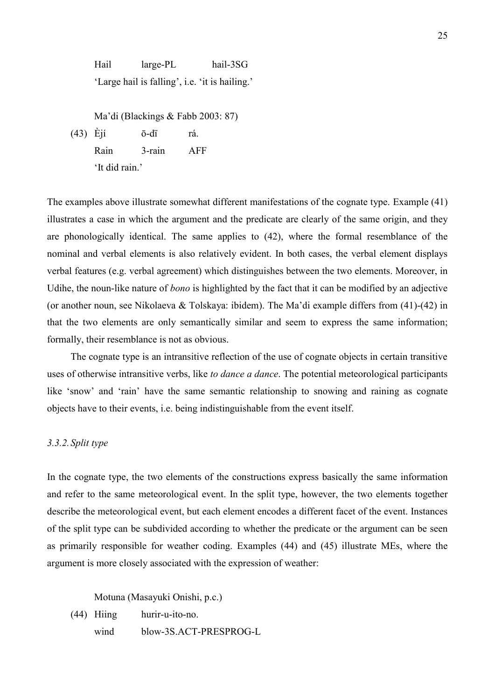Hail large-PL hail-3SG 'Large hail is falling', i.e. 'it is hailing.'

Ma'di (Blackings & Fabb 2003: 87)

 $(43)$  Èjí  $\bar{o}$ -dï rá. Rain 3-rain AFF 'It did rain.'

The examples above illustrate somewhat different manifestations of the cognate type. Example (41) illustrates a case in which the argument and the predicate are clearly of the same origin, and they are phonologically identical. The same applies to (42), where the formal resemblance of the nominal and verbal elements is also relatively evident. In both cases, the verbal element displays verbal features (e.g. verbal agreement) which distinguishes between the two elements. Moreover, in Udihe, the noun-like nature of *bono* is highlighted by the fact that it can be modified by an adjective (or another noun, see Nikolaeva & Tolskaya: ibidem). The Ma'di example differs from (41)-(42) in that the two elements are only semantically similar and seem to express the same information; formally, their resemblance is not as obvious.

 The cognate type is an intransitive reflection of the use of cognate objects in certain transitive uses of otherwise intransitive verbs, like *to dance a dance*. The potential meteorological participants like 'snow' and 'rain' have the same semantic relationship to snowing and raining as cognate objects have to their events, i.e. being indistinguishable from the event itself.

### *3.3.2. Split type*

In the cognate type, the two elements of the constructions express basically the same information and refer to the same meteorological event. In the split type, however, the two elements together describe the meteorological event, but each element encodes a different facet of the event. Instances of the split type can be subdivided according to whether the predicate or the argument can be seen as primarily responsible for weather coding. Examples (44) and (45) illustrate MEs, where the argument is more closely associated with the expression of weather:

Motuna (Masayuki Onishi, p.c.)

- (44) Hiing hurir-u-ito-no.
	- wind blow-3S.ACT-PRESPROG-L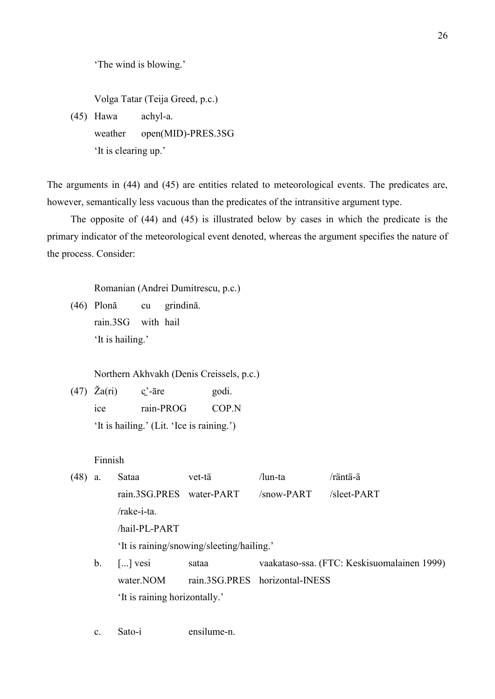'The wind is blowing.'

Volga Tatar (Teija Greed, p.c.)

 (45) Hawa achyl-a. weather open(MID)-PRES.3SG 'It is clearing up.'

The arguments in (44) and (45) are entities related to meteorological events. The predicates are, however, semantically less vacuous than the predicates of the intransitive argument type.

 The opposite of (44) and (45) is illustrated below by cases in which the predicate is the primary indicator of the meteorological event denoted, whereas the argument specifies the nature of the process. Consider:

Romanian (Andrei Dumitrescu, p.c.)

(46) Plonă cu grindină. rain.3SG with hail 'It is hailing.'

Northern Akhvakh (Denis Creissels, p.c.)

(47)  $\check{Z}a(ri)$  c'-are godi. ice rain-PROG COP.N 'It is hailing.' (Lit. 'Ice is raining.')

#### Finnish

(48) a. Sataa vet-tä /lun-ta /räntä-ä rain.3SG.PRES water-PART /snow-PART /sleet-PART /rake-i-ta. /hail-PL-PART 'It is raining/snowing/sleeting/hailing.' b. [...] vesi sataa vaakataso-ssa. (FTC: Keskisuomalainen 1999) water.NOM rain.3SG.PRES horizontal-INESS 'It is raining horizontally.'

c. Sato-i ensilume-n.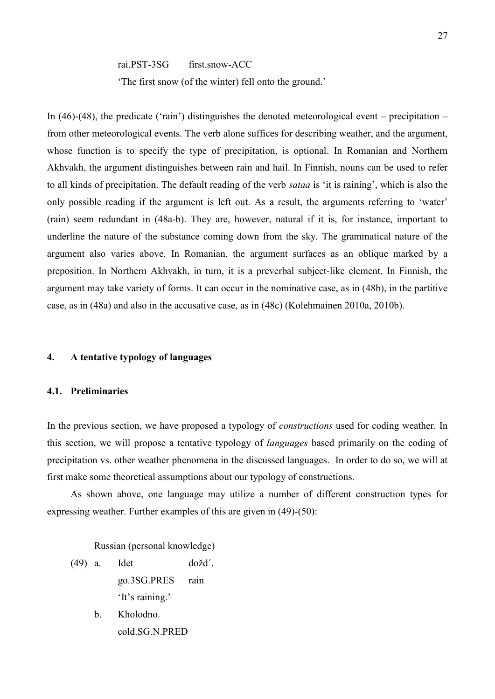rai.PST-3SG first.snow-ACC 'The first snow (of the winter) fell onto the ground.'

In (46)-(48), the predicate ('rain') distinguishes the denoted meteorological event – precipitation – from other meteorological events. The verb alone suffices for describing weather, and the argument, whose function is to specify the type of precipitation, is optional. In Romanian and Northern Akhvakh, the argument distinguishes between rain and hail. In Finnish, nouns can be used to refer to all kinds of precipitation. The default reading of the verb *sataa* is 'it is raining', which is also the only possible reading if the argument is left out. As a result, the arguments referring to 'water' (rain) seem redundant in (48a-b). They are, however, natural if it is, for instance, important to underline the nature of the substance coming down from the sky. The grammatical nature of the argument also varies above. In Romanian, the argument surfaces as an oblique marked by a preposition. In Northern Akhvakh, in turn, it is a preverbal subject-like element. In Finnish, the argument may take variety of forms. It can occur in the nominative case, as in (48b), in the partitive case, as in (48a) and also in the accusative case, as in (48c) (Kolehmainen 2010a, 2010b).

### **4. A tentative typology of languages**

### **4.1. Preliminaries**

In the previous section, we have proposed a typology of *constructions* used for coding weather. In this section, we will propose a tentative typology of *languages* based primarily on the coding of precipitation vs. other weather phenomena in the discussed languages. In order to do so, we will at first make some theoretical assumptions about our typology of constructions.

As shown above, one language may utilize a number of different construction types for expressing weather. Further examples of this are given in (49)-(50):

Russian (personal knowledge)

- (49) a. Idet dožd´. go.3SG.PRES rain 'It's raining.'
	- b. Kholodno. cold.SG.N.PRED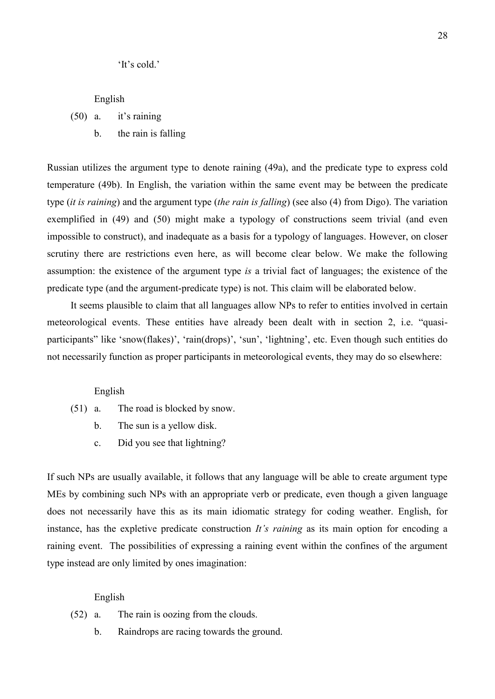English

(50) a. it's raining

b. the rain is falling

Russian utilizes the argument type to denote raining (49a), and the predicate type to express cold temperature (49b). In English, the variation within the same event may be between the predicate type (*it is raining*) and the argument type (*the rain is falling*) (see also (4) from Digo). The variation exemplified in (49) and (50) might make a typology of constructions seem trivial (and even impossible to construct), and inadequate as a basis for a typology of languages. However, on closer scrutiny there are restrictions even here, as will become clear below. We make the following assumption: the existence of the argument type *is* a trivial fact of languages; the existence of the predicate type (and the argument-predicate type) is not. This claim will be elaborated below.

 It seems plausible to claim that all languages allow NPs to refer to entities involved in certain meteorological events. These entities have already been dealt with in section 2, i.e. "quasiparticipants" like 'snow(flakes)', 'rain(drops)', 'sun', 'lightning', etc. Even though such entities do not necessarily function as proper participants in meteorological events, they may do so elsewhere:

English

- (51) a. The road is blocked by snow.
	- b. The sun is a yellow disk.
	- c. Did you see that lightning?

If such NPs are usually available, it follows that any language will be able to create argument type MEs by combining such NPs with an appropriate verb or predicate, even though a given language does not necessarily have this as its main idiomatic strategy for coding weather. English, for instance, has the expletive predicate construction *It's raining* as its main option for encoding a raining event. The possibilities of expressing a raining event within the confines of the argument type instead are only limited by ones imagination:

## English

(52) a. The rain is oozing from the clouds.

b. Raindrops are racing towards the ground.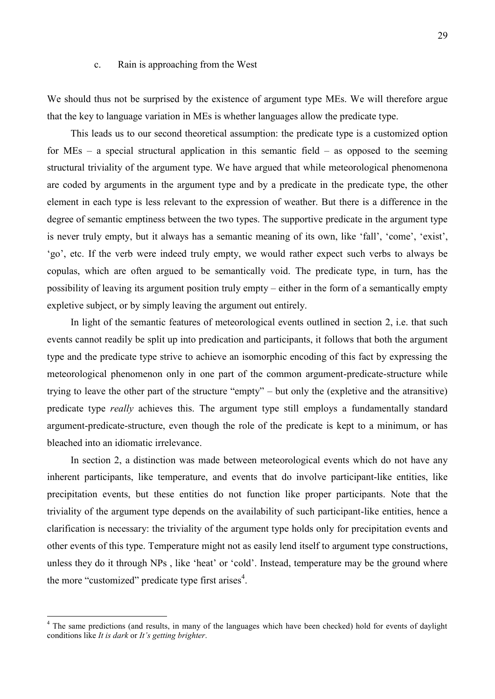#### c. Rain is approaching from the West

We should thus not be surprised by the existence of argument type MEs. We will therefore argue that the key to language variation in MEs is whether languages allow the predicate type.

 This leads us to our second theoretical assumption: the predicate type is a customized option for MEs – a special structural application in this semantic field – as opposed to the seeming structural triviality of the argument type. We have argued that while meteorological phenomenona are coded by arguments in the argument type and by a predicate in the predicate type, the other element in each type is less relevant to the expression of weather. But there is a difference in the degree of semantic emptiness between the two types. The supportive predicate in the argument type is never truly empty, but it always has a semantic meaning of its own, like 'fall', 'come', 'exist', 'go', etc. If the verb were indeed truly empty, we would rather expect such verbs to always be copulas, which are often argued to be semantically void. The predicate type, in turn, has the possibility of leaving its argument position truly empty – either in the form of a semantically empty expletive subject, or by simply leaving the argument out entirely.

In light of the semantic features of meteorological events outlined in section 2, i.e. that such events cannot readily be split up into predication and participants, it follows that both the argument type and the predicate type strive to achieve an isomorphic encoding of this fact by expressing the meteorological phenomenon only in one part of the common argument-predicate-structure while trying to leave the other part of the structure "empty" – but only the (expletive and the atransitive) predicate type *really* achieves this. The argument type still employs a fundamentally standard argument-predicate-structure, even though the role of the predicate is kept to a minimum, or has bleached into an idiomatic irrelevance.

In section 2, a distinction was made between meteorological events which do not have any inherent participants, like temperature, and events that do involve participant-like entities, like precipitation events, but these entities do not function like proper participants. Note that the triviality of the argument type depends on the availability of such participant-like entities, hence a clarification is necessary: the triviality of the argument type holds only for precipitation events and other events of this type. Temperature might not as easily lend itself to argument type constructions, unless they do it through NPs , like 'heat' or 'cold'. Instead, temperature may be the ground where the more "customized" predicate type first arises $4$ .

-

<sup>&</sup>lt;sup>4</sup> The same predictions (and results, in many of the languages which have been checked) hold for events of daylight conditions like *It is dark* or *It's getting brighter*.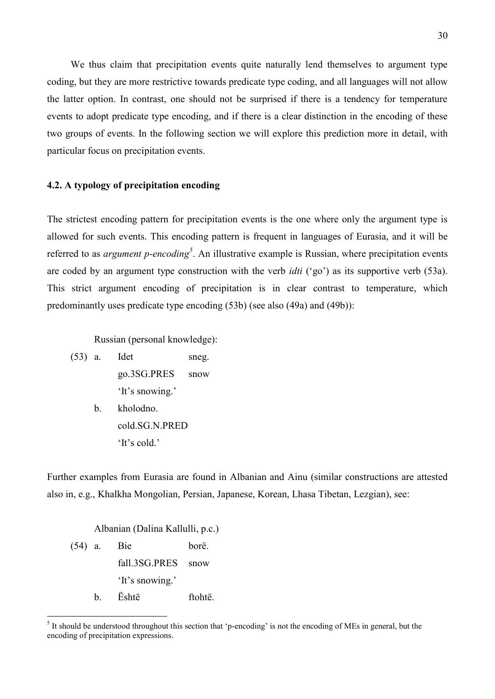We thus claim that precipitation events quite naturally lend themselves to argument type coding, but they are more restrictive towards predicate type coding, and all languages will not allow the latter option. In contrast, one should not be surprised if there is a tendency for temperature events to adopt predicate type encoding, and if there is a clear distinction in the encoding of these two groups of events. In the following section we will explore this prediction more in detail, with particular focus on precipitation events.

### **4.2. A typology of precipitation encoding**

The strictest encoding pattern for precipitation events is the one where only the argument type is allowed for such events. This encoding pattern is frequent in languages of Eurasia, and it will be referred to as *argument p-encoding<sup>5</sup>* . An illustrative example is Russian, where precipitation events are coded by an argument type construction with the verb *idti* ('go') as its supportive verb (53a). This strict argument encoding of precipitation is in clear contrast to temperature, which predominantly uses predicate type encoding (53b) (see also (49a) and (49b)):

Russian (personal knowledge):

(53) a. Idet sneg. go.3SG.PRES snow 'It's snowing.' b. kholodno. cold.SG.N.PRED

'It's cold.'

Further examples from Eurasia are found in Albanian and Ainu (similar constructions are attested also in, e.g., Khalkha Mongolian, Persian, Japanese, Korean, Lhasa Tibetan, Lezgian), see:

Albanian (Dalina Kallulli, p.c.) (54) a. Bie borë. fall.3SG.PRES snow 'It's snowing.' b. Është ftohtë.

<sup>&</sup>lt;sup>5</sup> It should be understood throughout this section that 'p-encoding' is not the encoding of MEs in general, but the encoding of precipitation expressions.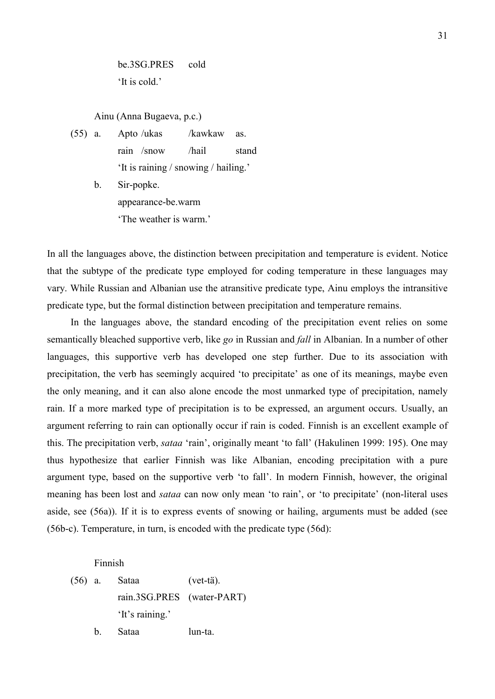be.3SG.PRES cold 'It is cold.'

Ainu (Anna Bugaeva, p.c.)

- (55) a. Apto /ukas /kawkaw as. rain /snow /hail stand 'It is raining / snowing / hailing.'
	- b. Sir-popke. appearance-be.warm 'The weather is warm.'

In all the languages above, the distinction between precipitation and temperature is evident. Notice that the subtype of the predicate type employed for coding temperature in these languages may vary. While Russian and Albanian use the atransitive predicate type, Ainu employs the intransitive predicate type, but the formal distinction between precipitation and temperature remains.

 In the languages above, the standard encoding of the precipitation event relies on some semantically bleached supportive verb, like *go* in Russian and *fall* in Albanian. In a number of other languages, this supportive verb has developed one step further. Due to its association with precipitation, the verb has seemingly acquired 'to precipitate' as one of its meanings, maybe even the only meaning, and it can also alone encode the most unmarked type of precipitation, namely rain. If a more marked type of precipitation is to be expressed, an argument occurs. Usually, an argument referring to rain can optionally occur if rain is coded. Finnish is an excellent example of this. The precipitation verb, *sataa* 'rain', originally meant 'to fall' (Hakulinen 1999: 195). One may thus hypothesize that earlier Finnish was like Albanian, encoding precipitation with a pure argument type, based on the supportive verb 'to fall'. In modern Finnish, however, the original meaning has been lost and *sataa* can now only mean 'to rain', or 'to precipitate' (non-literal uses aside, see (56a)). If it is to express events of snowing or hailing, arguments must be added (see (56b-c). Temperature, in turn, is encoded with the predicate type (56d):

Finnish

- (56) a. Sataa (vet-tä). rain.3SG.PRES (water-PART) 'It's raining.'
	- b. Sataa lun-ta.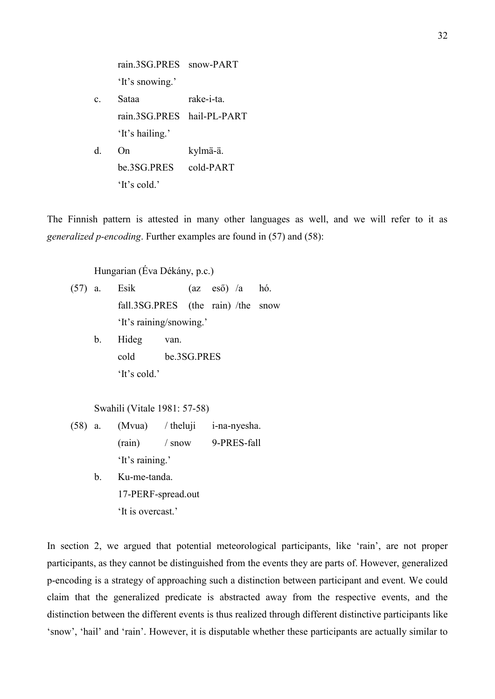rain.3SG.PRES snow-PART 'It's snowing.'

- c. Sataa rake-i-ta. rain.3SG.PRES hail-PL-PART 'It's hailing.'
- d. On kylmä-ä. be.3SG.PRES cold-PART 'It's cold.'

The Finnish pattern is attested in many other languages as well, and we will refer to it as *generalized p-encoding*. Further examples are found in (57) and (58):

Hungarian (Éva Dékány, p.c.)

- (57) a. Esik (az eső) /a hó. fall.3SG.PRES (the rain) /the snow 'It's raining/snowing.'
	- b. Hideg van. cold be.3SG.PRES 'It's cold.'

Swahili (Vitale 1981: 57-58)

- (58) a. (Mvua) / theluji i-na-nyesha. (rain) / snow 9-PRES-fall 'It's raining.'
	- b. Ku-me-tanda. 17-PERF-spread.out 'It is overcast.'

In section 2, we argued that potential meteorological participants, like 'rain', are not proper participants, as they cannot be distinguished from the events they are parts of. However, generalized p-encoding is a strategy of approaching such a distinction between participant and event. We could claim that the generalized predicate is abstracted away from the respective events, and the distinction between the different events is thus realized through different distinctive participants like 'snow', 'hail' and 'rain'. However, it is disputable whether these participants are actually similar to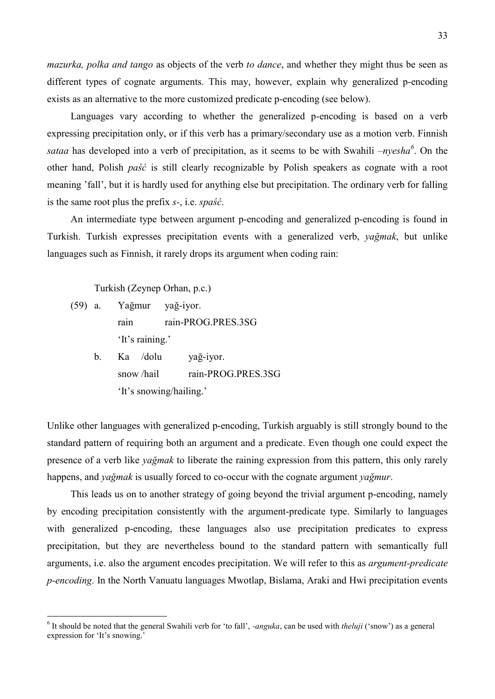*mazurka, polka and tango* as objects of the verb *to dance*, and whether they might thus be seen as different types of cognate arguments. This may, however, explain why generalized p-encoding exists as an alternative to the more customized predicate p-encoding (see below).

Languages vary according to whether the generalized p-encoding is based on a verb expressing precipitation only, or if this verb has a primary/secondary use as a motion verb. Finnish *sataa* has developed into a verb of precipitation, as it seems to be with Swahili *–nyesha<sup>6</sup>* . On the other hand, Polish *paść* is still clearly recognizable by Polish speakers as cognate with a root meaning 'fall', but it is hardly used for anything else but precipitation. The ordinary verb for falling is the same root plus the prefix *s-*, i.e. *spaść*.

 An intermediate type between argument p-encoding and generalized p-encoding is found in Turkish. Turkish expresses precipitation events with a generalized verb, *yağmak*, but unlike languages such as Finnish, it rarely drops its argument when coding rain:

Turkish (Zeynep Orhan, p.c.)

- (59) a. Yağmur yağ-iyor. rain rain-PROG.PRES.3SG 'It's raining.'
	- b. Ka /dolu yağ-iyor. snow /hail rain-PROG.PRES.3SG 'It's snowing/hailing.'

Unlike other languages with generalized p-encoding, Turkish arguably is still strongly bound to the standard pattern of requiring both an argument and a predicate. Even though one could expect the presence of a verb like *yağmak* to liberate the raining expression from this pattern, this only rarely happens, and *yağmak* is usually forced to co-occur with the cognate argument *yağmur*.

 This leads us on to another strategy of going beyond the trivial argument p-encoding, namely by encoding precipitation consistently with the argument-predicate type. Similarly to languages with generalized p-encoding, these languages also use precipitation predicates to express precipitation, but they are nevertheless bound to the standard pattern with semantically full arguments, i.e. also the argument encodes precipitation. We will refer to this as *argument-predicate p-encoding*. In the North Vanuatu languages Mwotlap, Bislama, Araki and Hwi precipitation events

 6 It should be noted that the general Swahili verb for 'to fall', *-anguka*, can be used with *theluji* ('snow') as a general expression for 'It's snowing.'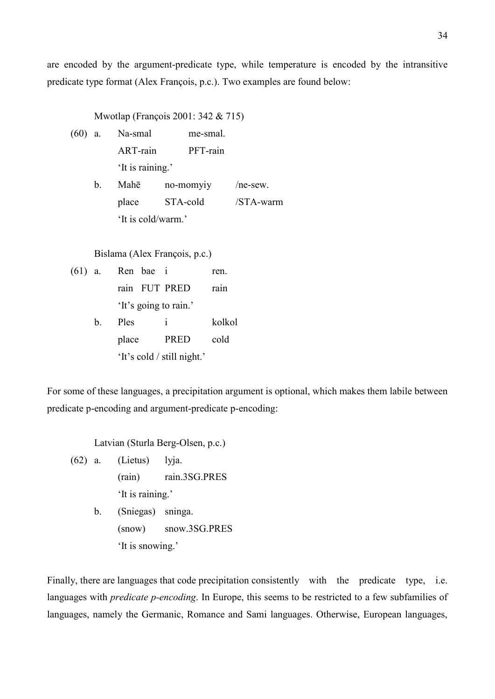are encoded by the argument-predicate type, while temperature is encoded by the intransitive predicate type format (Alex François, p.c.). Two examples are found below:

Mwotlap (François 2001: 342 & 715)

- (60) a. Na-smal me-smal. ART-rain PFT-rain 'It is raining.'
	- b. Mahē no-momyiy /ne-sew. place STA-cold /STA-warm 'It is cold/warm.'

Bislama (Alex François, p.c.)

- (61) a. Ren bae i ren. rain FUT PRED rain 'It's going to rain.'
	- b. Ples i kolkol place PRED cold 'It's cold / still night.'

For some of these languages, a precipitation argument is optional, which makes them labile between predicate p-encoding and argument-predicate p-encoding:

Latvian (Sturla Berg-Olsen, p.c.)

- (62) a. (Lietus) lyja. (rain) rain.3SG.PRES 'It is raining.'
	- b. (Sniegas) sninga. (snow) snow.3SG.PRES 'It is snowing.'

Finally, there are languages that code precipitation consistently with the predicate type, i.e. languages with *predicate p-encoding*. In Europe, this seems to be restricted to a few subfamilies of languages, namely the Germanic, Romance and Sami languages. Otherwise, European languages,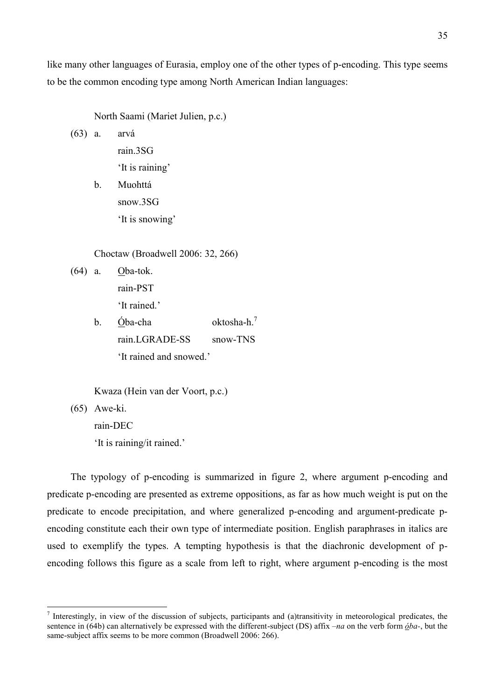like many other languages of Eurasia, employ one of the other types of p-encoding. This type seems to be the common encoding type among North American Indian languages:

North Saami (Mariet Julien, p.c.)

(63) a. arvá

rain.3SG 'It is raining'

b. Muohttá snow.3SG 'It is snowing'

Choctaw (Broadwell 2006: 32, 266)

(64) a. Oba-tok.

 rain-PST 'It rained.'

b. Óba-cha oktosha-h.<sup>7</sup> rain.LGRADE-SS snow-TNS 'It rained and snowed.'

Kwaza (Hein van der Voort, p.c.)

(65) Awe-ki. rain-DEC 'It is raining/it rained.'

<u>.</u>

The typology of p-encoding is summarized in figure 2, where argument p-encoding and predicate p-encoding are presented as extreme oppositions, as far as how much weight is put on the predicate to encode precipitation, and where generalized p-encoding and argument-predicate pencoding constitute each their own type of intermediate position. English paraphrases in italics are used to exemplify the types. A tempting hypothesis is that the diachronic development of pencoding follows this figure as a scale from left to right, where argument p-encoding is the most

 $<sup>7</sup>$  Interestingly, in view of the discussion of subjects, participants and (a)transitivity in meteorological predicates, the</sup> sentence in (64b) can alternatively be expressed with the different-subject (DS) affix *–na* on the verb form *óba-*, but the same-subject affix seems to be more common (Broadwell 2006: 266).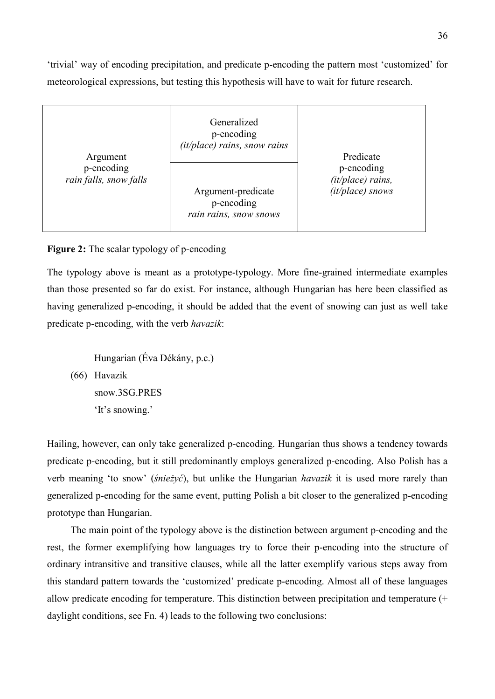'trivial' way of encoding precipitation, and predicate p-encoding the pattern most 'customized' for meteorological expressions, but testing this hypothesis will have to wait for future research.

| Argument                             | Generalized<br>p-encoding<br>$(it/place)$ rains, snow rains | Predicate                                             |
|--------------------------------------|-------------------------------------------------------------|-------------------------------------------------------|
| p-encoding<br>rain falls, snow falls | Argument-predicate<br>p-encoding<br>rain rains, snow snows  | p-encoding<br>(it/place) rains,<br>$(it/place)$ snows |

## **Figure 2:** The scalar typology of p-encoding

The typology above is meant as a prototype-typology. More fine-grained intermediate examples than those presented so far do exist. For instance, although Hungarian has here been classified as having generalized p-encoding, it should be added that the event of snowing can just as well take predicate p-encoding, with the verb *havazik*:

Hungarian (Éva Dékány, p.c.) (66) Havazik snow.3SG.PRES 'It's snowing.'

Hailing, however, can only take generalized p-encoding. Hungarian thus shows a tendency towards predicate p-encoding, but it still predominantly employs generalized p-encoding. Also Polish has a verb meaning 'to snow' (*śnieżyć*), but unlike the Hungarian *havazik* it is used more rarely than generalized p-encoding for the same event, putting Polish a bit closer to the generalized p-encoding prototype than Hungarian.

 The main point of the typology above is the distinction between argument p-encoding and the rest, the former exemplifying how languages try to force their p-encoding into the structure of ordinary intransitive and transitive clauses, while all the latter exemplify various steps away from this standard pattern towards the 'customized' predicate p-encoding. Almost all of these languages allow predicate encoding for temperature. This distinction between precipitation and temperature (+ daylight conditions, see Fn. 4) leads to the following two conclusions: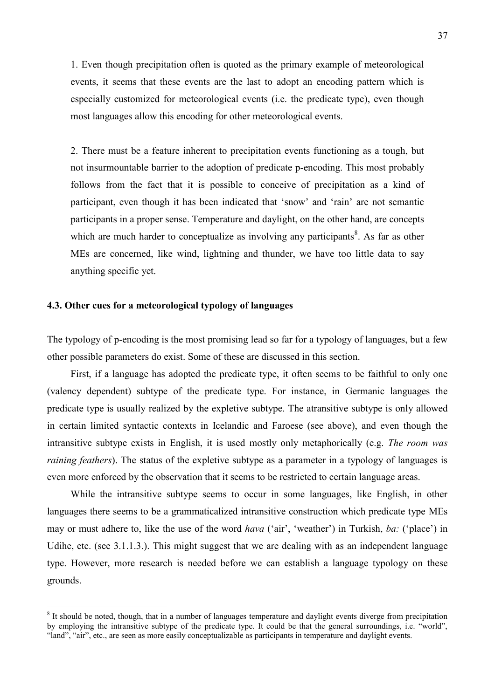1. Even though precipitation often is quoted as the primary example of meteorological events, it seems that these events are the last to adopt an encoding pattern which is especially customized for meteorological events (i.e. the predicate type), even though most languages allow this encoding for other meteorological events.

2. There must be a feature inherent to precipitation events functioning as a tough, but not insurmountable barrier to the adoption of predicate p-encoding. This most probably follows from the fact that it is possible to conceive of precipitation as a kind of participant, even though it has been indicated that 'snow' and 'rain' are not semantic participants in a proper sense. Temperature and daylight, on the other hand, are concepts which are much harder to conceptualize as involving any participants<sup>8</sup>. As far as other MEs are concerned, like wind, lightning and thunder, we have too little data to say anything specific yet.

#### **4.3. Other cues for a meteorological typology of languages**

<u>.</u>

The typology of p-encoding is the most promising lead so far for a typology of languages, but a few other possible parameters do exist. Some of these are discussed in this section.

 First, if a language has adopted the predicate type, it often seems to be faithful to only one (valency dependent) subtype of the predicate type. For instance, in Germanic languages the predicate type is usually realized by the expletive subtype. The atransitive subtype is only allowed in certain limited syntactic contexts in Icelandic and Faroese (see above), and even though the intransitive subtype exists in English, it is used mostly only metaphorically (e.g. *The room was raining feathers*). The status of the expletive subtype as a parameter in a typology of languages is even more enforced by the observation that it seems to be restricted to certain language areas.

While the intransitive subtype seems to occur in some languages, like English, in other languages there seems to be a grammaticalized intransitive construction which predicate type MEs may or must adhere to, like the use of the word *hava* ('air', 'weather') in Turkish, *ba:* ('place') in Udihe, etc. (see 3.1.1.3.). This might suggest that we are dealing with as an independent language type. However, more research is needed before we can establish a language typology on these grounds.

<sup>&</sup>lt;sup>8</sup> It should be noted, though, that in a number of languages temperature and daylight events diverge from precipitation by employing the intransitive subtype of the predicate type. It could be that the general surroundings, i.e. "world", "land", "air", etc., are seen as more easily conceptualizable as participants in temperature and daylight events.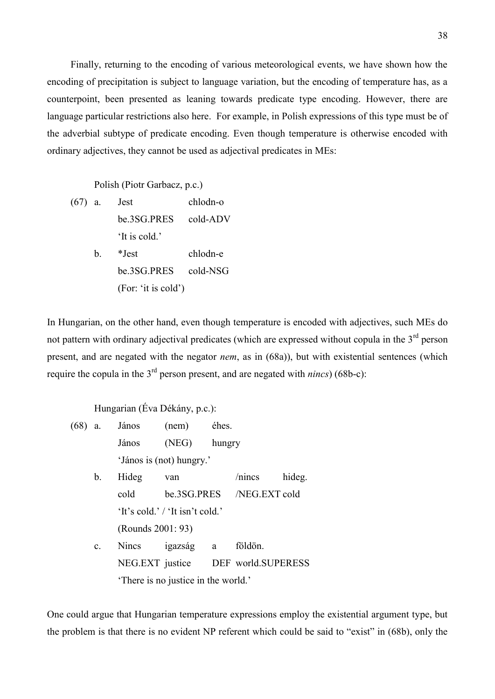Finally, returning to the encoding of various meteorological events, we have shown how the encoding of precipitation is subject to language variation, but the encoding of temperature has, as a counterpoint, been presented as leaning towards predicate type encoding. However, there are language particular restrictions also here. For example, in Polish expressions of this type must be of the adverbial subtype of predicate encoding. Even though temperature is otherwise encoded with ordinary adjectives, they cannot be used as adjectival predicates in MEs:

Polish (Piotr Garbacz, p.c.)

- (67) a. Jest chlodn-o be.3SG.PRES cold-ADV 'It is cold.'
	- b. \*Jest chlodn-e be.3SG.PRES cold-NSG (For: 'it is cold')

In Hungarian, on the other hand, even though temperature is encoded with adjectives, such MEs do not pattern with ordinary adjectival predicates (which are expressed without copula in the  $3<sup>rd</sup>$  person present, and are negated with the negator *nem*, as in (68a)), but with existential sentences (which require the copula in the 3rd person present, and are negated with *nincs*) (68b-c):

Hungarian (Éva Dékány, p.c.):

- (68) a. János (nem) éhes. János (NEG) hungry 'János is (not) hungry.'
	- b. Hideg van /nincs hideg. cold be.3SG.PRES /NEG.EXT cold 'It's cold.' / 'It isn't cold.' (Rounds 2001: 93) c. Nincs igazság a földön. NEG.EXT justice DEF world.SUPERESS 'There is no justice in the world.'

One could argue that Hungarian temperature expressions employ the existential argument type, but the problem is that there is no evident NP referent which could be said to "exist" in (68b), only the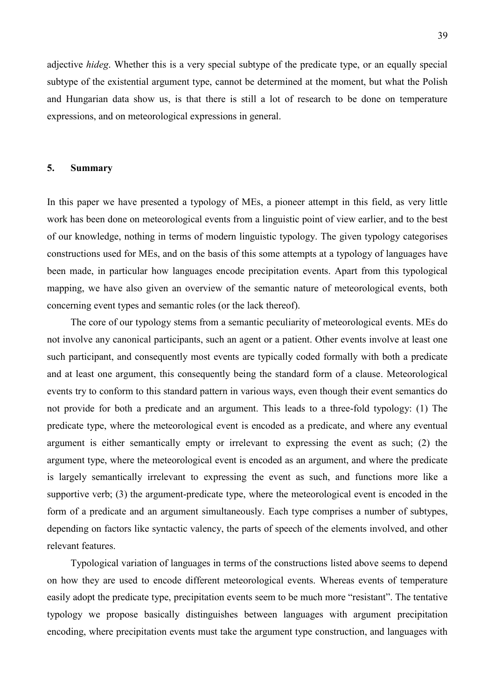adjective *hideg*. Whether this is a very special subtype of the predicate type, or an equally special subtype of the existential argument type, cannot be determined at the moment, but what the Polish and Hungarian data show us, is that there is still a lot of research to be done on temperature expressions, and on meteorological expressions in general.

### **5. Summary**

In this paper we have presented a typology of MEs, a pioneer attempt in this field, as very little work has been done on meteorological events from a linguistic point of view earlier, and to the best of our knowledge, nothing in terms of modern linguistic typology. The given typology categorises constructions used for MEs, and on the basis of this some attempts at a typology of languages have been made, in particular how languages encode precipitation events. Apart from this typological mapping, we have also given an overview of the semantic nature of meteorological events, both concerning event types and semantic roles (or the lack thereof).

 The core of our typology stems from a semantic peculiarity of meteorological events. MEs do not involve any canonical participants, such an agent or a patient. Other events involve at least one such participant, and consequently most events are typically coded formally with both a predicate and at least one argument, this consequently being the standard form of a clause. Meteorological events try to conform to this standard pattern in various ways, even though their event semantics do not provide for both a predicate and an argument. This leads to a three-fold typology: (1) The predicate type, where the meteorological event is encoded as a predicate, and where any eventual argument is either semantically empty or irrelevant to expressing the event as such; (2) the argument type, where the meteorological event is encoded as an argument, and where the predicate is largely semantically irrelevant to expressing the event as such, and functions more like a supportive verb; (3) the argument-predicate type, where the meteorological event is encoded in the form of a predicate and an argument simultaneously. Each type comprises a number of subtypes, depending on factors like syntactic valency, the parts of speech of the elements involved, and other relevant features.

 Typological variation of languages in terms of the constructions listed above seems to depend on how they are used to encode different meteorological events. Whereas events of temperature easily adopt the predicate type, precipitation events seem to be much more "resistant". The tentative typology we propose basically distinguishes between languages with argument precipitation encoding, where precipitation events must take the argument type construction, and languages with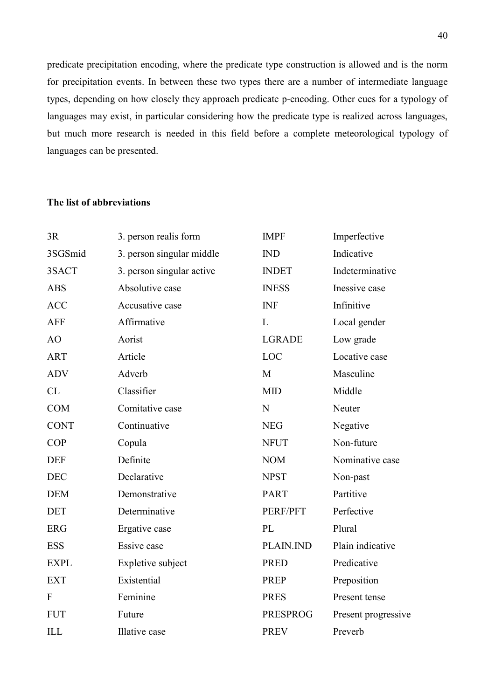predicate precipitation encoding, where the predicate type construction is allowed and is the norm for precipitation events. In between these two types there are a number of intermediate language types, depending on how closely they approach predicate p-encoding. Other cues for a typology of languages may exist, in particular considering how the predicate type is realized across languages, but much more research is needed in this field before a complete meteorological typology of languages can be presented.

## **The list of abbreviations**

| 3R               | 3. person realis form     | <b>IMPF</b>     | Imperfective        |
|------------------|---------------------------|-----------------|---------------------|
| 3SGSmid          | 3. person singular middle | <b>IND</b>      | Indicative          |
| 3SACT            | 3. person singular active | <b>INDET</b>    | Indeterminative     |
| <b>ABS</b>       | Absolutive case           | <b>INESS</b>    | Inessive case       |
| ACC              | Accusative case           | <b>INF</b>      | Infinitive          |
| <b>AFF</b>       | Affirmative               | L               | Local gender        |
| AO               | Aorist                    | <b>LGRADE</b>   | Low grade           |
| <b>ART</b>       | Article                   | LOC             | Locative case       |
| <b>ADV</b>       | Adverb                    | M               | Masculine           |
| CL               | Classifier                | <b>MID</b>      | Middle              |
| <b>COM</b>       | Comitative case           | N               | Neuter              |
| <b>CONT</b>      | Continuative              | <b>NEG</b>      | Negative            |
| <b>COP</b>       | Copula                    | <b>NFUT</b>     | Non-future          |
| <b>DEF</b>       | Definite                  | <b>NOM</b>      | Nominative case     |
| <b>DEC</b>       | Declarative               | <b>NPST</b>     | Non-past            |
| <b>DEM</b>       | Demonstrative             | <b>PART</b>     | Partitive           |
| <b>DET</b>       | Determinative             | PERF/PFT        | Perfective          |
| <b>ERG</b>       | Ergative case             | PL              | Plural              |
| <b>ESS</b>       | Essive case               | PLAIN.IND       | Plain indicative    |
| <b>EXPL</b>      | Expletive subject         | <b>PRED</b>     | Predicative         |
| <b>EXT</b>       | Existential               | <b>PREP</b>     | Preposition         |
| $\boldsymbol{F}$ | Feminine                  | <b>PRES</b>     | Present tense       |
| <b>FUT</b>       | Future                    | <b>PRESPROG</b> | Present progressive |
| ILL              | Illative case             | <b>PREV</b>     | Preverb             |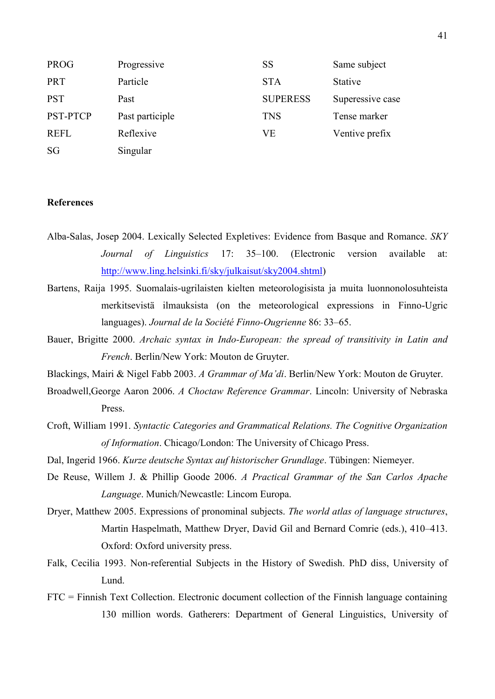| <b>PROG</b>     | Progressive     | <b>SS</b>       | Same subject     |
|-----------------|-----------------|-----------------|------------------|
| <b>PRT</b>      | Particle        | <b>STA</b>      | <b>Stative</b>   |
| <b>PST</b>      | Past            | <b>SUPERESS</b> | Superessive case |
| <b>PST-PTCP</b> | Past participle | <b>TNS</b>      | Tense marker     |
| <b>REFL</b>     | Reflexive       | VE              | Ventive prefix   |
| SG              | Singular        |                 |                  |

#### **References**

- Alba-Salas, Josep 2004. Lexically Selected Expletives: Evidence from Basque and Romance. *SKY Journal of Linguistics* 17: 35–100. (Electronic version available at: [http://www.ling.helsinki.fi/sky/julkaisut/sky2004.shtml\)](http://www.ling.helsinki.fi/sky/julkaisut/sky2004.shtml)
- Bartens, Raija 1995. Suomalais-ugrilaisten kielten meteorologisista ja muita luonnonolosuhteista merkitsevistä ilmauksista (on the meteorological expressions in Finno-Ugric languages). *Journal de la Société Finno-Ougrienne* 86: 33–65.
- Bauer, Brigitte 2000. *Archaic syntax in Indo-European: the spread of transitivity in Latin and French*. Berlin/New York: Mouton de Gruyter.

Blackings, Mairi & Nigel Fabb 2003. *A Grammar of Ma'di*. Berlin/New York: Mouton de Gruyter.

- Broadwell,George Aaron 2006. *A Choctaw Reference Grammar*. Lincoln: University of Nebraska Press.
- Croft, William 1991. *Syntactic Categories and Grammatical Relations. The Cognitive Organization of Information*. Chicago/London: The University of Chicago Press.
- Dal, Ingerid 1966. *Kurze deutsche Syntax auf historischer Grundlage*. Tübingen: Niemeyer.
- De Reuse, Willem J. & Phillip Goode 2006. *A Practical Grammar of the San Carlos Apache Language*. Munich/Newcastle: Lincom Europa.
- Dryer, Matthew 2005. Expressions of pronominal subjects. *The world atlas of language structures*, Martin Haspelmath, Matthew Dryer, David Gil and Bernard Comrie (eds.), 410–413. Oxford: Oxford university press.
- Falk, Cecilia 1993. Non-referential Subjects in the History of Swedish. PhD diss, University of Lund.
- FTC = Finnish Text Collection. Electronic document collection of the Finnish language containing 130 million words. Gatherers: Department of General Linguistics, University of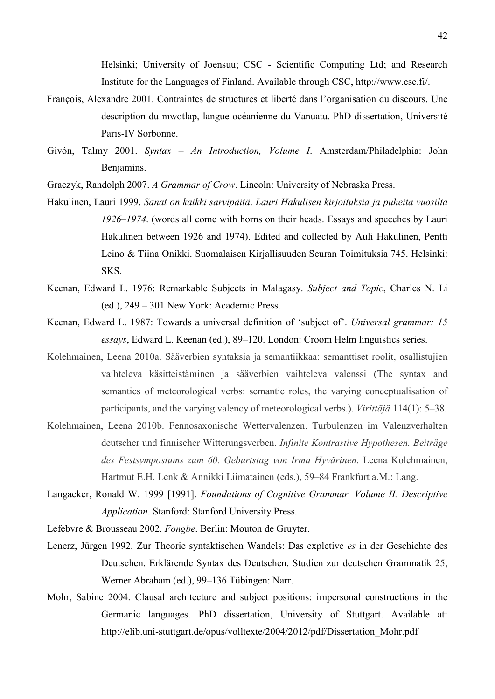Helsinki; University of Joensuu; CSC - Scientific Computing Ltd; and Research Institute for the Languages of Finland. Available through CSC, http://www.csc.fi/.

- François, Alexandre 2001. Contraintes de structures et liberté dans l'organisation du discours. Une description du mwotlap, langue océanienne du Vanuatu. PhD dissertation, Université Paris-IV Sorbonne.
- Givón, Talmy 2001. *Syntax – An Introduction, Volume I*. Amsterdam/Philadelphia: John Benjamins.
- Graczyk, Randolph 2007. *A Grammar of Crow*. Lincoln: University of Nebraska Press.
- Hakulinen, Lauri 1999. *Sanat on kaikki sarvipäitä*. *Lauri Hakulisen kirjoituksia ja puheita vuosilta 1926–1974*. (words all come with horns on their heads. Essays and speeches by Lauri Hakulinen between 1926 and 1974). Edited and collected by Auli Hakulinen, Pentti Leino & Tiina Onikki. Suomalaisen Kirjallisuuden Seuran Toimituksia 745. Helsinki: SKS.
- Keenan, Edward L. 1976: Remarkable Subjects in Malagasy. *Subject and Topic*, Charles N. Li (ed.), 249 – 301 New York: Academic Press.
- Keenan, Edward L. 1987: Towards a universal definition of 'subject of'. *Universal grammar: 15 essays*, Edward L. Keenan (ed.), 89–120. London: Croom Helm linguistics series.
- Kolehmainen, Leena 2010a. Sääverbien syntaksia ja semantiikkaa: semanttiset roolit, osallistujien vaihteleva käsitteistäminen ja sääverbien vaihteleva valenssi (The syntax and semantics of meteorological verbs: semantic roles, the varying conceptualisation of participants, and the varying valency of meteorological verbs.). *Virittäjä* 114(1): 5–38.
- Kolehmainen, Leena 2010b. Fennosaxonische Wettervalenzen. Turbulenzen im Valenzverhalten deutscher und finnischer Witterungsverben. *Infinite Kontrastive Hypothesen. Beiträge des Festsymposiums zum 60. Geburtstag von Irma Hyvärinen*. Leena Kolehmainen, Hartmut E.H. Lenk & Annikki Liimatainen (eds.), 59–84 Frankfurt a.M.: Lang.
- Langacker, Ronald W. 1999 [1991]. *Foundations of Cognitive Grammar. Volume II. Descriptive Application*. Stanford: Stanford University Press.

Lefebvre & Brousseau 2002. *Fongbe*. Berlin: Mouton de Gruyter.

- Lenerz, Jürgen 1992. Zur Theorie syntaktischen Wandels: Das expletive *es* in der Geschichte des Deutschen. Erklärende Syntax des Deutschen. Studien zur deutschen Grammatik 25, Werner Abraham (ed.), 99–136 Tübingen: Narr.
- Mohr, Sabine 2004. Clausal architecture and subject positions: impersonal constructions in the Germanic languages. PhD dissertation, University of Stuttgart. Available at: http://elib.uni-stuttgart.de/opus/volltexte/2004/2012/pdf/Dissertation\_Mohr.pdf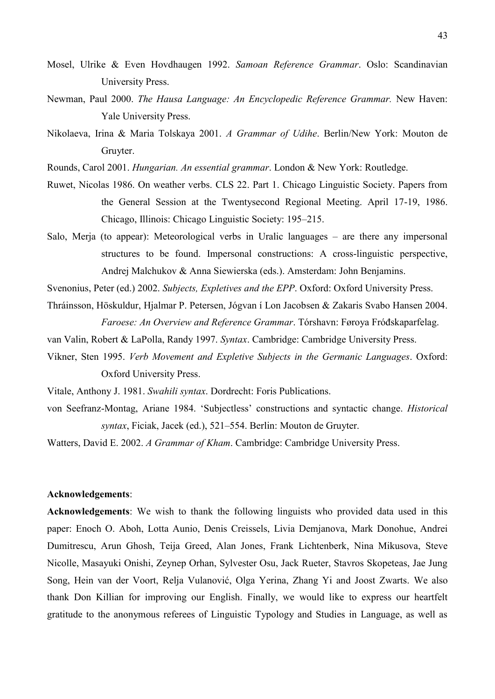- Mosel, Ulrike & Even Hovdhaugen 1992. *Samoan Reference Grammar*. Oslo: Scandinavian University Press.
- Newman, Paul 2000. *The Hausa Language: An Encyclopedic Reference Grammar.* New Haven: Yale University Press.
- Nikolaeva, Irina & Maria Tolskaya 2001. *A Grammar of Udihe*. Berlin/New York: Mouton de Gruyter.
- Rounds, Carol 2001. *Hungarian. An essential grammar*. London & New York: Routledge.
- Ruwet, Nicolas 1986. On weather verbs. CLS 22. Part 1. Chicago Linguistic Society. Papers from the General Session at the Twentysecond Regional Meeting. April 17-19, 1986. Chicago, Illinois: Chicago Linguistic Society: 195–215.
- Salo, Merja (to appear): Meteorological verbs in Uralic languages are there any impersonal structures to be found. Impersonal constructions: A cross-linguistic perspective, Andrej Malchukov & Anna Siewierska (eds.). Amsterdam: John Benjamins.
- Svenonius, Peter (ed.) 2002. *Subjects, Expletives and the EPP*. Oxford: Oxford University Press.
- Thráinsson, Höskuldur, Hjalmar P. Petersen, Jógvan í Lon Jacobsen & Zakaris Svabo Hansen 2004. *Faroese: An Overview and Reference Grammar*. Tórshavn: Føroya Fróđskaparfelag.
- van Valin, Robert & LaPolla, Randy 1997. *Syntax*. Cambridge: Cambridge University Press.
- Vikner, Sten 1995. *Verb Movement and Expletive Subjects in the Germanic Languages*. Oxford: Oxford University Press.
- Vitale, Anthony J. 1981. *Swahili syntax*. Dordrecht: Foris Publications.
- von Seefranz-Montag, Ariane 1984. 'Subjectless' constructions and syntactic change. *Historical syntax*, Ficiak, Jacek (ed.), 521–554. Berlin: Mouton de Gruyter.

Watters, David E. 2002. *A Grammar of Kham*. Cambridge: Cambridge University Press.

### **Acknowledgements**:

**Acknowledgements**: We wish to thank the following linguists who provided data used in this paper: Enoch O. Aboh, Lotta Aunio, Denis Creissels, Livia Demjanova, Mark Donohue, Andrei Dumitrescu, Arun Ghosh, Teija Greed, Alan Jones, Frank Lichtenberk, Nina Mikusova, Steve Nicolle, Masayuki Onishi, Zeynep Orhan, Sylvester Osu, Jack Rueter, Stavros Skopeteas, Jae Jung Song, Hein van der Voort, Relja Vulanović, Olga Yerina, Zhang Yi and Joost Zwarts. We also thank Don Killian for improving our English. Finally, we would like to express our heartfelt gratitude to the anonymous referees of Linguistic Typology and Studies in Language, as well as